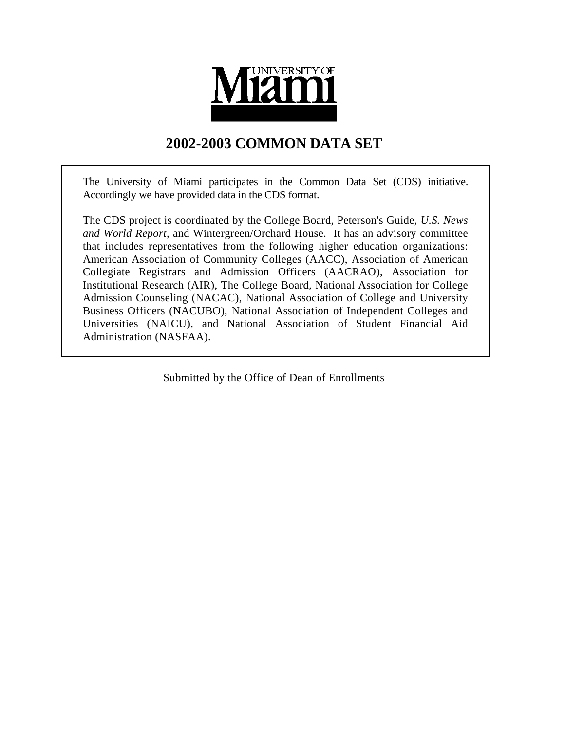

# **2002-2003 COMMON DATA SET**

The University of Miami participates in the Common Data Set (CDS) initiative. Accordingly we have provided data in the CDS format.

The CDS project is coordinated by the College Board, Peterson's Guide, *U.S. News and World Report*, and Wintergreen/Orchard House. It has an advisory committee that includes representatives from the following higher education organizations: American Association of Community Colleges (AACC), Association of American Collegiate Registrars and Admission Officers (AACRAO), Association for Institutional Research (AIR), The College Board, National Association for College Admission Counseling (NACAC), National Association of College and University Business Officers (NACUBO), National Association of Independent Colleges and Universities (NAICU), and National Association of Student Financial Aid Administration (NASFAA).

Submitted by the Office of Dean of Enrollments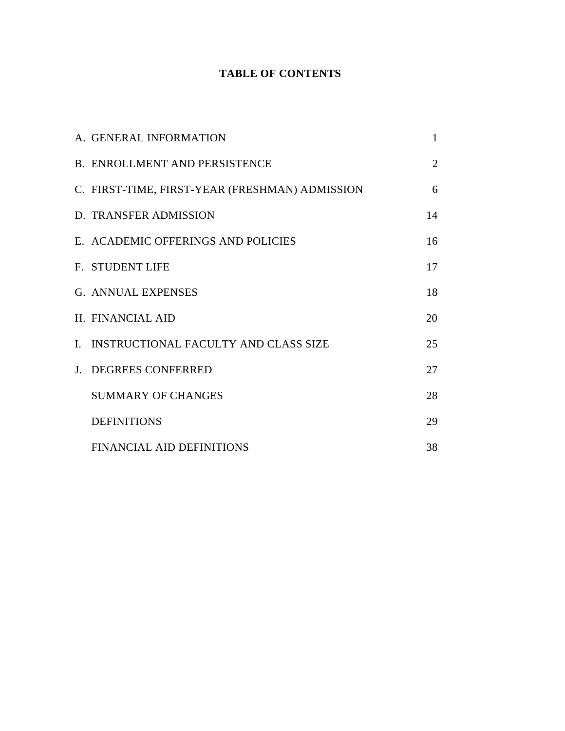# **TABLE OF CONTENTS**

| A. GENERAL INFORMATION                         | $\mathbf{1}$   |
|------------------------------------------------|----------------|
| <b>B. ENROLLMENT AND PERSISTENCE</b>           | $\overline{2}$ |
| C. FIRST-TIME, FIRST-YEAR (FRESHMAN) ADMISSION | 6              |
| D. TRANSFER ADMISSION                          | 14             |
| E. ACADEMIC OFFERINGS AND POLICIES             | 16             |
| F. STUDENT LIFE                                | 17             |
| <b>G. ANNUAL EXPENSES</b>                      | 18             |
| H. FINANCIAL AID                               | 20             |
| I. INSTRUCTIONAL FACULTY AND CLASS SIZE        | 25             |
| J. DEGREES CONFERRED                           | 27             |
| <b>SUMMARY OF CHANGES</b>                      | 28             |
| <b>DEFINITIONS</b>                             | 29             |
| <b>FINANCIAL AID DEFINITIONS</b>               | 38             |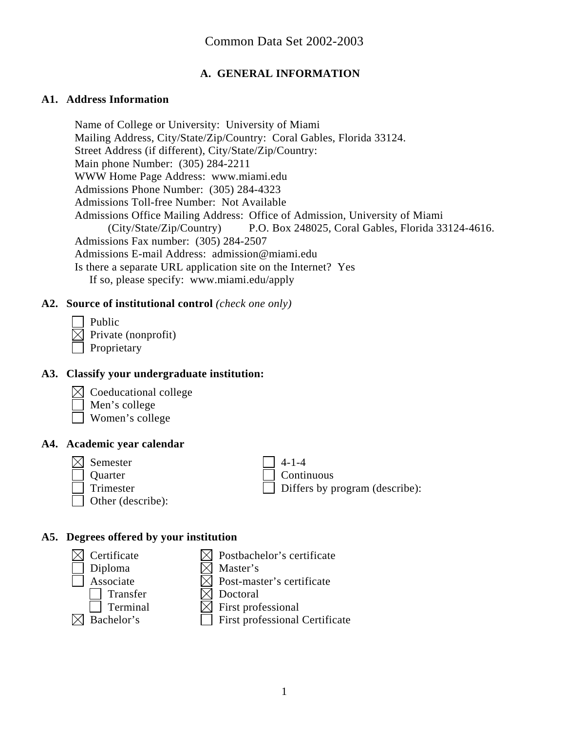### **A. GENERAL INFORMATION**

#### **A1. Address Information**

Name of College or University: University of Miami Mailing Address, City/State/Zip/Country: Coral Gables, Florida 33124. Street Address (if different), City/State/Zip/Country: Main phone Number: (305) 284-2211 WWW Home Page Address: www.miami.edu Admissions Phone Number: (305) 284-4323 Admissions Toll-free Number: Not Available Admissions Office Mailing Address: Office of Admission, University of Miami (City/State/Zip/Country) P.O. Box 248025, Coral Gables, Florida 33124-4616. Admissions Fax number: (305) 284-2507 Admissions E-mail Address: admission@miami.edu Is there a separate URL application site on the Internet? Yes If so, please specify: www.miami.edu/apply

#### **A2. Source of institutional control** *(check one only)*

 Public  $\boxtimes$  Private (nonprofit) Proprietary

#### **A3. Classify your undergraduate institution:**

- $\boxtimes$  Coeducational college
- Men's college
- Women's college

#### **A4. Academic year calendar**

Semester  $\vert$  4-1-4 Other (describe):

Quarter and Continuous Trimester  $\Box$  Differs by program (describe):

#### **A5. Degrees offered by your institution**

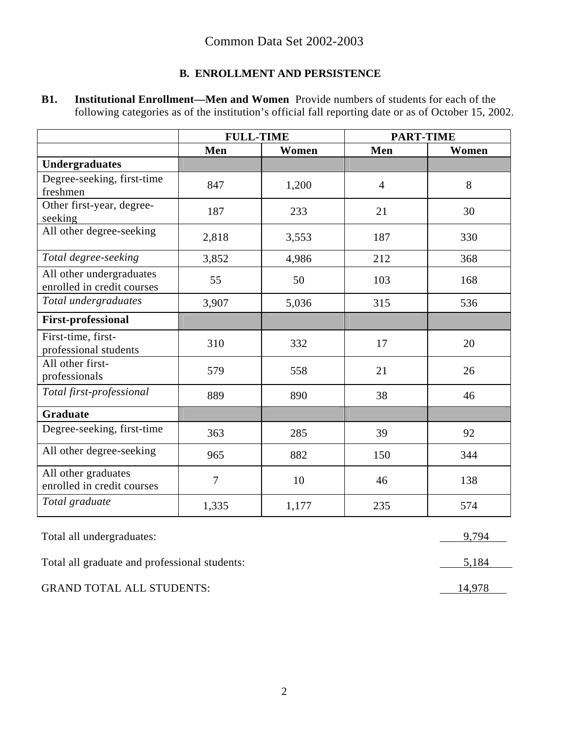# **B. ENROLLMENT AND PERSISTENCE**

| <b>B1.</b> | <b>Institutional Enrollment—Men and Women</b> Provide numbers of students for each of the            |
|------------|------------------------------------------------------------------------------------------------------|
|            | following categories as of the institution's official fall reporting date or as of October 15, 2002. |

|                                                        | <b>FULL-TIME</b> |       | <b>PART-TIME</b> |       |
|--------------------------------------------------------|------------------|-------|------------------|-------|
|                                                        | Men              | Women | Men              | Women |
| <b>Undergraduates</b>                                  |                  |       |                  |       |
| Degree-seeking, first-time<br>freshmen                 | 847              | 1,200 | $\overline{4}$   | 8     |
| Other first-year, degree-<br>seeking                   | 187              | 233   | 21               | 30    |
| All other degree-seeking                               | 2,818            | 3,553 | 187              | 330   |
| Total degree-seeking                                   | 3,852            | 4,986 | 212              | 368   |
| All other undergraduates<br>enrolled in credit courses | 55               | 50    | 103              | 168   |
| Total undergraduates                                   | 3,907            | 5,036 | 315              | 536   |
| <b>First-professional</b>                              |                  |       |                  |       |
| First-time, first-<br>professional students            | 310              | 332   | 17               | 20    |
| All other first-<br>professionals                      | 579              | 558   | 21               | 26    |
| Total first-professional                               | 889              | 890   | 38               | 46    |
| <b>Graduate</b>                                        |                  |       |                  |       |
| Degree-seeking, first-time                             | 363              | 285   | 39               | 92    |
| All other degree-seeking                               | 965              | 882   | 150              | 344   |
| All other graduates<br>enrolled in credit courses      | 7                | 10    | 46               | 138   |
| Total graduate                                         | 1,335            | 1,177 | 235              | 574   |

Total all undergraduates: 9,794

Total all graduate and professional students: 5,184

GRAND TOTAL ALL STUDENTS: 14,978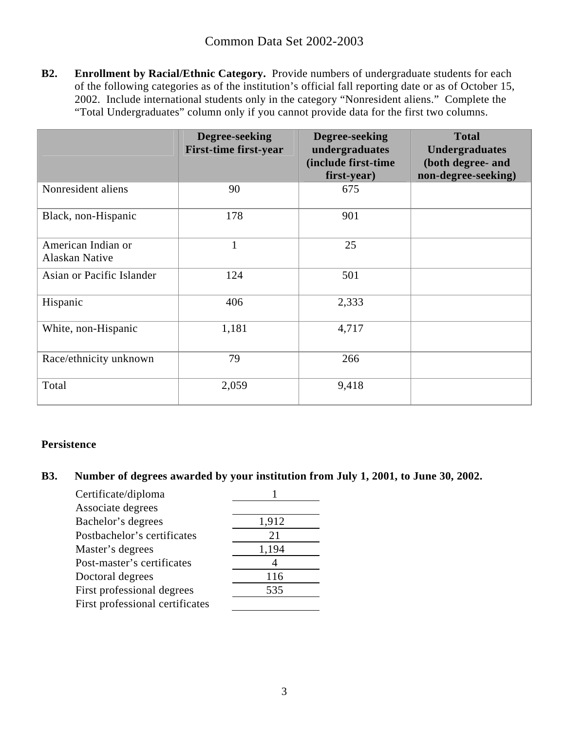**B2. Enrollment by Racial/Ethnic Category.** Provide numbers of undergraduate students for each of the following categories as of the institution's official fall reporting date or as of October 15, 2002. Include international students only in the category "Nonresident aliens." Complete the "Total Undergraduates" column only if you cannot provide data for the first two columns.

|                                      | Degree-seeking<br><b>First-time first-year</b> | Degree-seeking<br>undergraduates<br>(include first-time<br>first-year) | <b>Total</b><br><b>Undergraduates</b><br>(both degree- and<br>non-degree-seeking) |
|--------------------------------------|------------------------------------------------|------------------------------------------------------------------------|-----------------------------------------------------------------------------------|
| Nonresident aliens                   | 90                                             | 675                                                                    |                                                                                   |
| Black, non-Hispanic                  | 178                                            | 901                                                                    |                                                                                   |
| American Indian or<br>Alaskan Native | 1                                              | 25                                                                     |                                                                                   |
| Asian or Pacific Islander            | 124                                            | 501                                                                    |                                                                                   |
| Hispanic                             | 406                                            | 2,333                                                                  |                                                                                   |
| White, non-Hispanic                  | 1,181                                          | 4,717                                                                  |                                                                                   |
| Race/ethnicity unknown               | 79                                             | 266                                                                    |                                                                                   |
| Total                                | 2,059                                          | 9,418                                                                  |                                                                                   |

#### **Persistence**

#### **B3. Number of degrees awarded by your institution from July 1, 2001, to June 30, 2002.**

| Certificate/diploma             |       |
|---------------------------------|-------|
| Associate degrees               |       |
| Bachelor's degrees              | 1,912 |
| Postbachelor's certificates     | 21    |
| Master's degrees                | 1,194 |
| Post-master's certificates      |       |
| Doctoral degrees                | 116   |
| First professional degrees      | 535   |
| First professional certificates |       |
|                                 |       |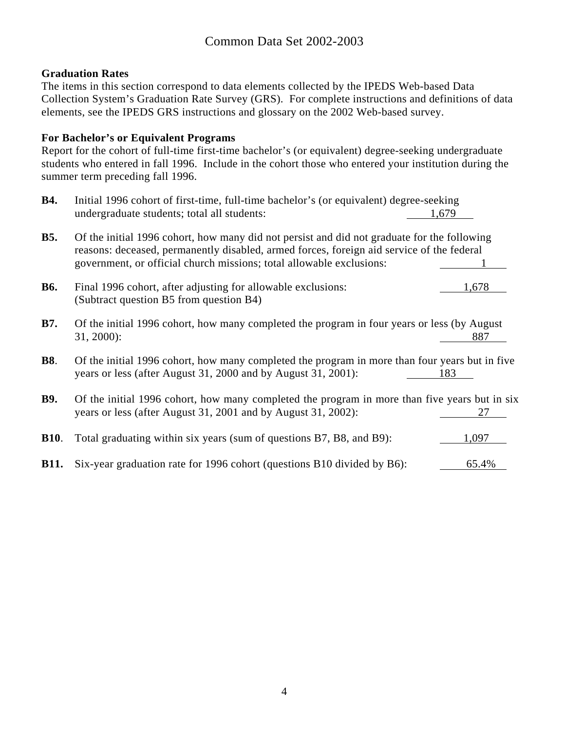#### **Graduation Rates**

The items in this section correspond to data elements collected by the IPEDS Web-based Data Collection System's Graduation Rate Survey (GRS). For complete instructions and definitions of data elements, see the IPEDS GRS instructions and glossary on the 2002 Web-based survey.

#### **For Bachelor's or Equivalent Programs**

Report for the cohort of full-time first-time bachelor's (or equivalent) degree-seeking undergraduate students who entered in fall 1996. Include in the cohort those who entered your institution during the summer term preceding fall 1996.

| <b>B4.</b>  | Initial 1996 cohort of first-time, full-time bachelor's (or equivalent) degree-seeking<br>undergraduate students; total all students:                                                                                                                            | 1,679 |
|-------------|------------------------------------------------------------------------------------------------------------------------------------------------------------------------------------------------------------------------------------------------------------------|-------|
| <b>B5.</b>  | Of the initial 1996 cohort, how many did not persist and did not graduate for the following<br>reasons: deceased, permanently disabled, armed forces, foreign aid service of the federal<br>government, or official church missions; total allowable exclusions: |       |
| <b>B6.</b>  | Final 1996 cohort, after adjusting for allowable exclusions:<br>(Subtract question B5 from question B4)                                                                                                                                                          | 1,678 |
| <b>B7.</b>  | Of the initial 1996 cohort, how many completed the program in four years or less (by August<br>$31, 2000$ :                                                                                                                                                      | 887   |
| <b>B8.</b>  | Of the initial 1996 cohort, how many completed the program in more than four years but in five<br>years or less (after August 31, 2000 and by August 31, 2001):                                                                                                  | 183   |
| <b>B9.</b>  | Of the initial 1996 cohort, how many completed the program in more than five years but in six<br>years or less (after August 31, 2001 and by August 31, 2002):                                                                                                   | 27    |
| <b>B10.</b> | Total graduating within six years (sum of questions B7, B8, and B9):                                                                                                                                                                                             | 1,097 |
| <b>B11.</b> | Six-year graduation rate for 1996 cohort (questions B10 divided by B6):                                                                                                                                                                                          | 65.4% |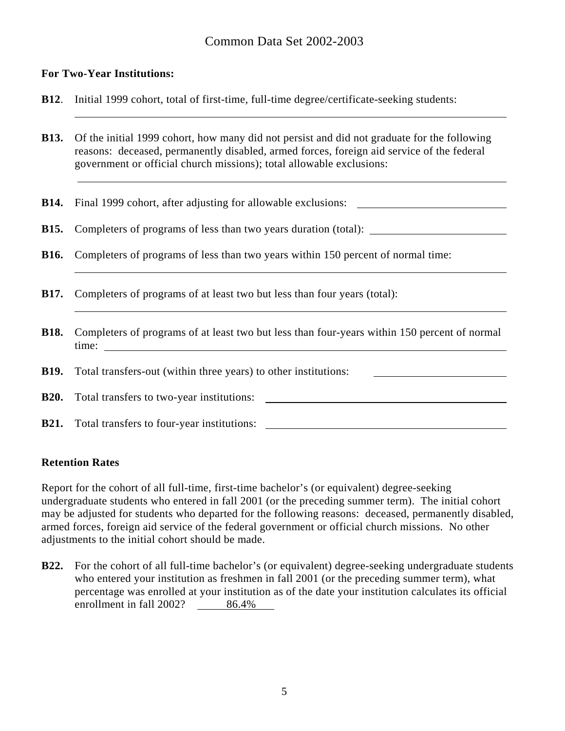#### **For Two-Year Institutions:**

- **B12**. Initial 1999 cohort, total of first-time, full-time degree/certificate-seeking students:
- **B13.** Of the initial 1999 cohort, how many did not persist and did not graduate for the following reasons: deceased, permanently disabled, armed forces, foreign aid service of the federal government or official church missions); total allowable exclusions:
- **B14.** Final 1999 cohort, after adjusting for allowable exclusions:
- **B15.** Completers of programs of less than two years duration (total):
- **B16.** Completers of programs of less than two years within 150 percent of normal time:
- **B17.** Completers of programs of at least two but less than four years (total):
- **B18.** Completers of programs of at least two but less than four-years within 150 percent of normal time:
- **B19.** Total transfers-out (within three years) to other institutions:

**B20.** Total transfers to two-year institutions:

**B21.** Total transfers to four-year institutions:

#### **Retention Rates**

 $\overline{a}$ 

Report for the cohort of all full-time, first-time bachelor's (or equivalent) degree-seeking undergraduate students who entered in fall 2001 (or the preceding summer term). The initial cohort may be adjusted for students who departed for the following reasons: deceased, permanently disabled, armed forces, foreign aid service of the federal government or official church missions. No other adjustments to the initial cohort should be made.

**B22.** For the cohort of all full-time bachelor's (or equivalent) degree-seeking undergraduate students who entered your institution as freshmen in fall 2001 (or the preceding summer term), what percentage was enrolled at your institution as of the date your institution calculates its official enrollment in fall 2002? 86.4%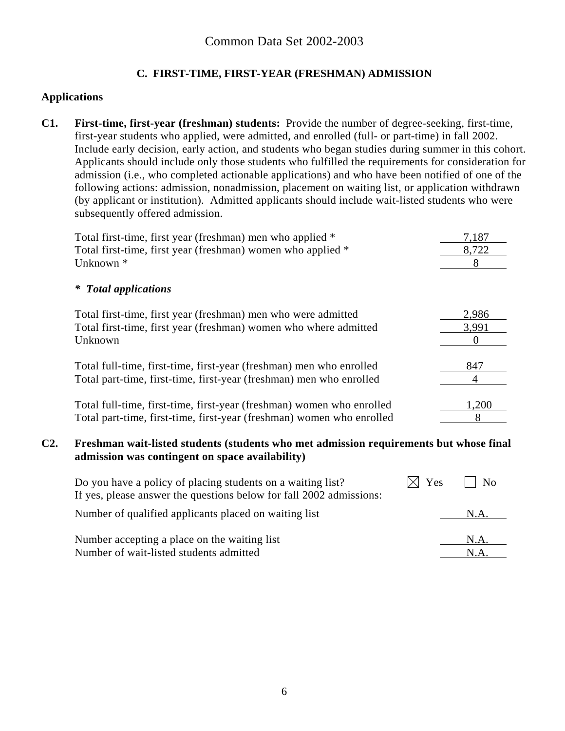## **C. FIRST-TIME, FIRST-YEAR (FRESHMAN) ADMISSION**

#### **Applications**

**C1. First-time, first-year (freshman) students:** Provide the number of degree-seeking, first-time, first-year students who applied, were admitted, and enrolled (full- or part-time) in fall 2002. Include early decision, early action, and students who began studies during summer in this cohort. Applicants should include only those students who fulfilled the requirements for consideration for admission (i.e., who completed actionable applications) and who have been notified of one of the following actions: admission, nonadmission, placement on waiting list, or application withdrawn (by applicant or institution). Admitted applicants should include wait-listed students who were subsequently offered admission.

| Total first-time, first year (freshman) men who applied *             | 7,187 |
|-----------------------------------------------------------------------|-------|
| Total first-time, first year (freshman) women who applied *           | 8,722 |
| Unknown <sup>*</sup>                                                  | 8     |
| <b>Total applications</b><br>∗                                        |       |
| Total first-time, first year (freshman) men who were admitted         | 2,986 |
| Total first-time, first year (freshman) women who where admitted      | 3,991 |
| Unknown                                                               |       |
| Total full-time, first-time, first-year (freshman) men who enrolled   | 847   |
| Total part-time, first-time, first-year (freshman) men who enrolled   |       |
| Total full-time, first-time, first-year (freshman) women who enrolled | 1,200 |
| Total part-time, first-time, first-year (freshman) women who enrolled | 8     |

#### **C2. Freshman wait-listed students (students who met admission requirements but whose final admission was contingent on space availability)**

| Do you have a policy of placing students on a waiting list?<br>If yes, please answer the questions below for fall 2002 admissions: | Yes | N <sub>0</sub> |
|------------------------------------------------------------------------------------------------------------------------------------|-----|----------------|
| Number of qualified applicants placed on waiting list                                                                              |     | NA             |
| Number accepting a place on the waiting list                                                                                       |     | N.A.           |
| Number of wait-listed students admitted                                                                                            |     | N.A            |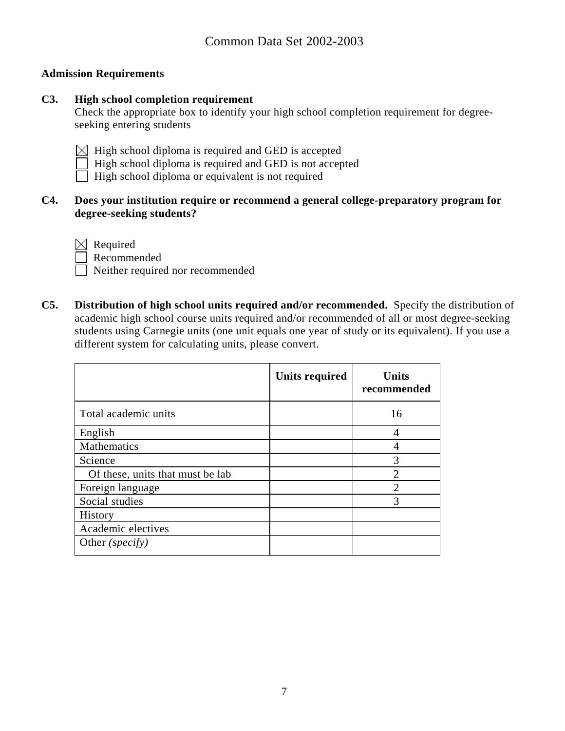#### **Admission Requirements**

#### **C3. High school completion requirement**

Check the appropriate box to identify your high school completion requirement for degreeseeking entering students

- $\boxtimes$  High school diploma is required and GED is accepted
- High school diploma is required and GED is not accepted
- High school diploma or equivalent is not required

#### **C4. Does your institution require or recommend a general college-preparatory program for degree-seeking students?**

 $\boxtimes$  Required

Recommended

Neither required nor recommended

**C5. Distribution of high school units required and/or recommended.** Specify the distribution of academic high school course units required and/or recommended of all or most degree-seeking students using Carnegie units (one unit equals one year of study or its equivalent). If you use a different system for calculating units, please convert.

|                                  | <b>Units required</b> | <b>Units</b><br>recommended |
|----------------------------------|-----------------------|-----------------------------|
| Total academic units             |                       | 16                          |
| English                          |                       | 4                           |
| Mathematics                      |                       |                             |
| Science                          |                       | 3                           |
| Of these, units that must be lab |                       | っ                           |
| Foreign language                 |                       | $\mathfrak{D}$              |
| Social studies                   |                       | 3                           |
| History                          |                       |                             |
| Academic electives               |                       |                             |
| Other (specify)                  |                       |                             |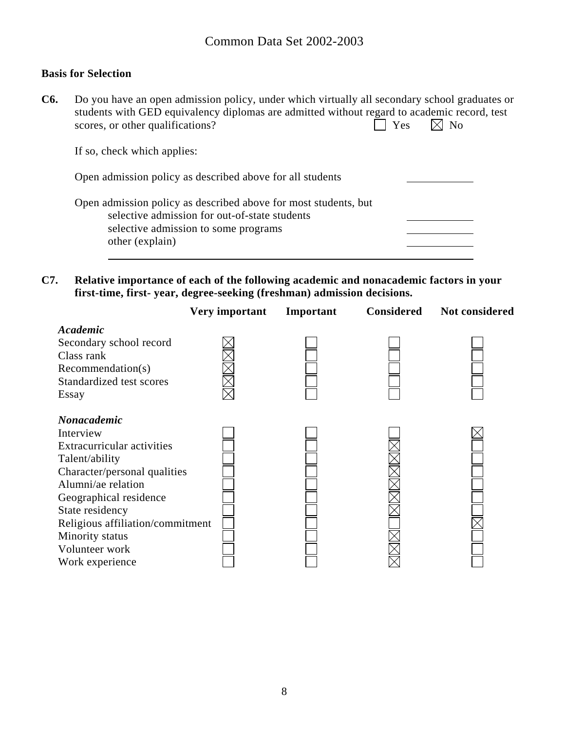#### **Basis for Selection**

**C6.** Do you have an open admission policy, under which virtually all secondary school graduates or students with GED equivalency diplomas are admitted without regard to academic record, test<br>scores, or other qualifications?<br> $\Box$  Yes  $\Box$  No scores, or other qualifications?

If so, check which applies:

| Open admission policy as described above for all students                                                                                                                   |  |
|-----------------------------------------------------------------------------------------------------------------------------------------------------------------------------|--|
| Open admission policy as described above for most students, but<br>selective admission for out-of-state students<br>selective admission to some programs<br>other (explain) |  |

**C7. Relative importance of each of the following academic and nonacademic factors in your first-time, first- year, degree-seeking (freshman) admission decisions.** 

|                                                                                                                                                                        | Very important | Important | <b>Considered</b> | Not considered |
|------------------------------------------------------------------------------------------------------------------------------------------------------------------------|----------------|-----------|-------------------|----------------|
| Academic<br>Secondary school record<br>Class rank<br>Recommendation(s)<br>Standardized test scores<br>Essay                                                            |                |           |                   |                |
| <b>Nonacademic</b><br>Interview<br><b>Extracurricular activities</b><br>Talent/ability<br>Character/personal qualities<br>Alumni/ae relation<br>Geographical residence |                |           |                   |                |
| State residency<br>Religious affiliation/commitment<br>Minority status<br>Volunteer work<br>Work experience                                                            |                |           |                   |                |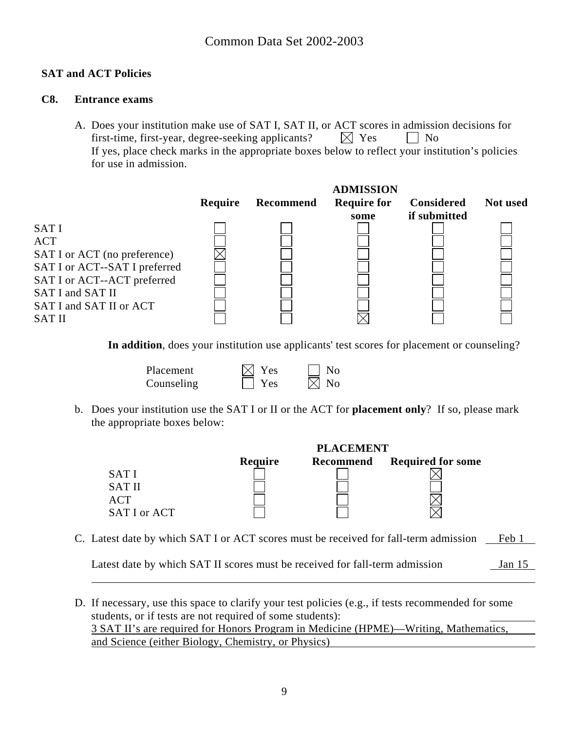#### **SAT and ACT Policies**

#### **C8. Entrance exams**

A. Does your institution make use of SAT I, SAT II, or ACT scores in admission decisions for first-time, first-year, degree-seeking applicants?  $\boxtimes$  Yes  $\Box$  No If yes, place check marks in the appropriate boxes below to reflect your institution's policies for use in admission.



**In addition**, does your institution use applicants' test scores for placement or counseling?

| Placement  | $\boxtimes$ Yes | $\vert$ No     |
|------------|-----------------|----------------|
| Counseling | $\Box$ Yes      | $\boxtimes$ No |

b. Does your institution use the SAT I or II or the ACT for **placement only**? If so, please mark the appropriate boxes below:

|               |         | <b>PLACEMENT</b> |                          |
|---------------|---------|------------------|--------------------------|
|               | Require | <b>Recommend</b> | <b>Required for some</b> |
| <b>SATI</b>   |         |                  |                          |
| <b>SAT II</b> |         |                  |                          |
| <b>ACT</b>    |         |                  |                          |
| SAT I or ACT  |         |                  |                          |

C. Latest date by which SAT I or ACT scores must be received for fall-term admission Feb 1

Latest date by which SAT II scores must be received for fall-term admission Jan 15

 $\overline{a}$ 

D. If necessary, use this space to clarify your test policies (e.g., if tests recommended for some students, or if tests are not required of some students): 3 SAT II's are required for Honors Program in Medicine (HPME)—Writing, Mathematics, and Science (either Biology, Chemistry, or Physics)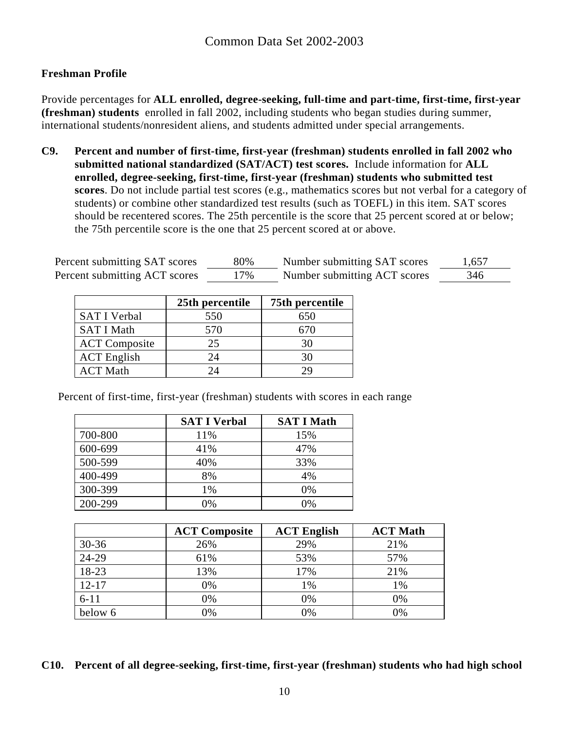### **Freshman Profile**

Provide percentages for **ALL enrolled, degree-seeking, full-time and part-time, first-time, first-year (freshman) students** enrolled in fall 2002, including students who began studies during summer, international students/nonresident aliens, and students admitted under special arrangements.

**C9. Percent and number of first-time, first-year (freshman) students enrolled in fall 2002 who submitted national standardized (SAT/ACT) test scores.** Include information for **ALL enrolled, degree-seeking, first-time, first-year (freshman) students who submitted test scores**. Do not include partial test scores (e.g., mathematics scores but not verbal for a category of students) or combine other standardized test results (such as TOEFL) in this item. SAT scores should be recentered scores. The 25th percentile is the score that 25 percent scored at or below; the 75th percentile score is the one that 25 percent scored at or above.

| Percent submitting SAT scores | 80% | Number submitting SAT scores | 1,657 |
|-------------------------------|-----|------------------------------|-------|
| Percent submitting ACT scores | 17% | Number submitting ACT scores | 346   |

|                      | 25th percentile | 75th percentile |
|----------------------|-----------------|-----------------|
| <b>SAT I Verbal</b>  | 550             | 650             |
| <b>SAT I Math</b>    | 570             | 670             |
| <b>ACT</b> Composite | 25              | 30              |
| <b>ACT</b> English   | 24              | 30              |
| <b>ACT Math</b>      |                 |                 |

Percent of first-time, first-year (freshman) students with scores in each range

|         | <b>SAT I Verbal</b> | <b>SAT I Math</b> |
|---------|---------------------|-------------------|
| 700-800 | 11%                 | 15%               |
| 600-699 | 41%                 | 47%               |
| 500-599 | 40%                 | 33%               |
| 400-499 | 8%                  | 4%                |
| 300-399 | 1%                  | 0%                |
| 200-299 | 0%                  | 0%                |

|           | <b>ACT Composite</b> | <b>ACT English</b> | <b>ACT Math</b> |
|-----------|----------------------|--------------------|-----------------|
| $30 - 36$ | 26%                  | 29%                | 21%             |
| 24-29     | 61%                  | 53%                | 57%             |
| 18-23     | 13%                  | 17%                | 21%             |
| $12 - 17$ | 0%                   | 1%                 | 1%              |
| $6 - 11$  | 0%                   | 0%                 | 0%              |
| below 6   | 0%                   | 0%                 | 0%              |

**C10. Percent of all degree-seeking, first-time, first-year (freshman) students who had high school**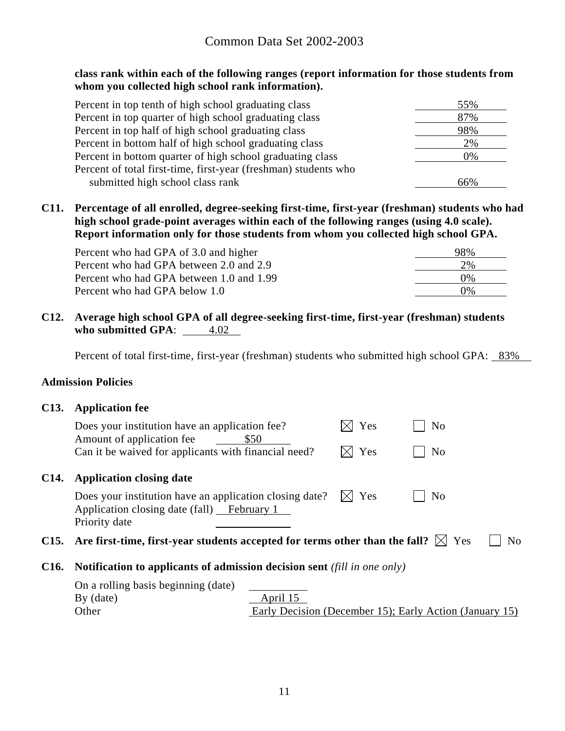**class rank within each of the following ranges (report information for those students from whom you collected high school rank information).** 

| Percent in top tenth of high school graduating class            | 55% |
|-----------------------------------------------------------------|-----|
| Percent in top quarter of high school graduating class          | 87% |
| Percent in top half of high school graduating class             | 98% |
| Percent in bottom half of high school graduating class          | 2%  |
| Percent in bottom quarter of high school graduating class       | 0%  |
| Percent of total first-time, first-year (freshman) students who |     |
| submitted high school class rank                                | 66% |

**C11. Percentage of all enrolled, degree-seeking first-time, first-year (freshman) students who had high school grade-point averages within each of the following ranges (using 4.0 scale). Report information only for those students from whom you collected high school GPA.** 

| Percent who had GPA of 3.0 and higher    | 98%   |
|------------------------------------------|-------|
| Percent who had GPA between 2.0 and 2.9  | 2%    |
| Percent who had GPA between 1.0 and 1.99 | $0\%$ |
| Percent who had GPA below 1.0            | 0%    |

**C12. Average high school GPA of all degree-seeking first-time, first-year (freshman) students who submitted GPA:** 4.02

Percent of total first-time, first-year (freshman) students who submitted high school GPA: 83%

#### **Admission Policies**

#### **C13. Application fee**

|      | Does your institution have an application fee?<br>Amount of application fee<br>Can it be waived for applicants with financial need? | \$50                                                    | Yes<br>Yes      | No<br>N <sub>o</sub> |    |
|------|-------------------------------------------------------------------------------------------------------------------------------------|---------------------------------------------------------|-----------------|----------------------|----|
| C14. | <b>Application closing date</b>                                                                                                     |                                                         |                 |                      |    |
|      | Does your institution have an application closing date?<br>Application closing date (fall) February 1<br>Priority date              |                                                         | $\boxtimes$ Yes | N <sub>0</sub>       |    |
|      | C15. Are first-time, first-year students accepted for terms other than the fall? $\boxtimes$ Yes                                    |                                                         |                 |                      | No |
| C16. | <b>Notification to applicants of admission decision sent</b> (fill in one only)                                                     |                                                         |                 |                      |    |
|      | On a rolling basis beginning (date)                                                                                                 |                                                         |                 |                      |    |
|      | $By$ (date)                                                                                                                         | April 15                                                |                 |                      |    |
|      | Other                                                                                                                               | Early Decision (December 15); Early Action (January 15) |                 |                      |    |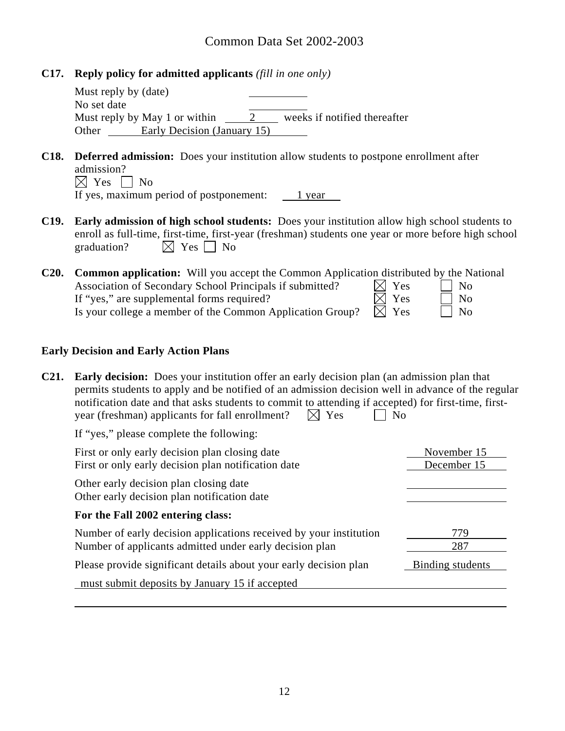**C17. Reply policy for admitted applicants** *(fill in one only)*

| Must reply by (date) |                               |                              |
|----------------------|-------------------------------|------------------------------|
| No set date          |                               |                              |
|                      | Must reply by May 1 or within | weeks if notified thereafter |
| Other                | Early Decision (January 15)   |                              |

- **C18. Deferred admission:** Does your institution allow students to postpone enrollment after admission?  $\boxtimes$  Yes  $\Box$  No If yes, maximum period of postponement: 1 year
- **C19. Early admission of high school students:** Does your institution allow high school students to enroll as full-time, first-time, first-year (freshman) students one year or more before high school graduation?  $\boxtimes$  Yes  $\Box$  No

| C20. | <b>Common application:</b> Will you accept the Common Application distributed by the National |                 |                             |
|------|-----------------------------------------------------------------------------------------------|-----------------|-----------------------------|
|      | Association of Secondary School Principals if submitted?                                      | $\boxtimes$ Yes | $\mathsf{N}$   No           |
|      | If "yes," are supplemental forms required?                                                    | $\boxtimes$ Yes | $\overline{\phantom{0}}$ No |
|      | Is your college a member of the Common Application Group?                                     | $\boxtimes$ Yes | $\overline{\phantom{a}}$ No |

#### **Early Decision and Early Action Plans**

| C <sub>21</sub> .<br><b>Early decision:</b> Does your institution offer an early decision plan (an admission plan that<br>permits students to apply and be notified of an admission decision well in advance of the regular<br>notification date and that asks students to commit to attending if accepted) for first-time, first-<br>year (freshman) applicants for fall enrollment?<br>Yes<br>$\overline{\mathbb{X}}$ | N <sub>o</sub>             |
|-------------------------------------------------------------------------------------------------------------------------------------------------------------------------------------------------------------------------------------------------------------------------------------------------------------------------------------------------------------------------------------------------------------------------|----------------------------|
| If "yes," please complete the following:                                                                                                                                                                                                                                                                                                                                                                                |                            |
| First or only early decision plan closing date<br>First or only early decision plan notification date                                                                                                                                                                                                                                                                                                                   | November 15<br>December 15 |
| Other early decision plan closing date<br>Other early decision plan notification date                                                                                                                                                                                                                                                                                                                                   |                            |
| For the Fall 2002 entering class:                                                                                                                                                                                                                                                                                                                                                                                       |                            |
| Number of early decision applications received by your institution<br>Number of applicants admitted under early decision plan                                                                                                                                                                                                                                                                                           | 779<br>287                 |
| Please provide significant details about your early decision plan                                                                                                                                                                                                                                                                                                                                                       | Binding students           |
| must submit deposits by January 15 if accepted                                                                                                                                                                                                                                                                                                                                                                          |                            |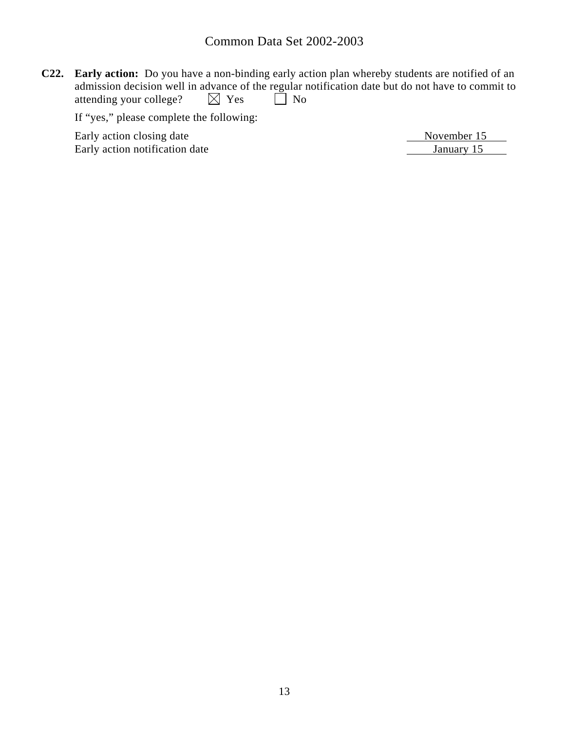**C22. Early action:** Do you have a non-binding early action plan whereby students are notified of an admission decision well in advance of the regular notification date but do not have to commit to attending your college?  $\boxtimes$  Yes  $\Box$  No attending your college?  $\boxtimes$  Yes  $\Box$  No

If "yes," please complete the following:

Early action closing date Movember 15<br>
Early action notification date Movember 15<br>
Tanuary 15 Early action notification date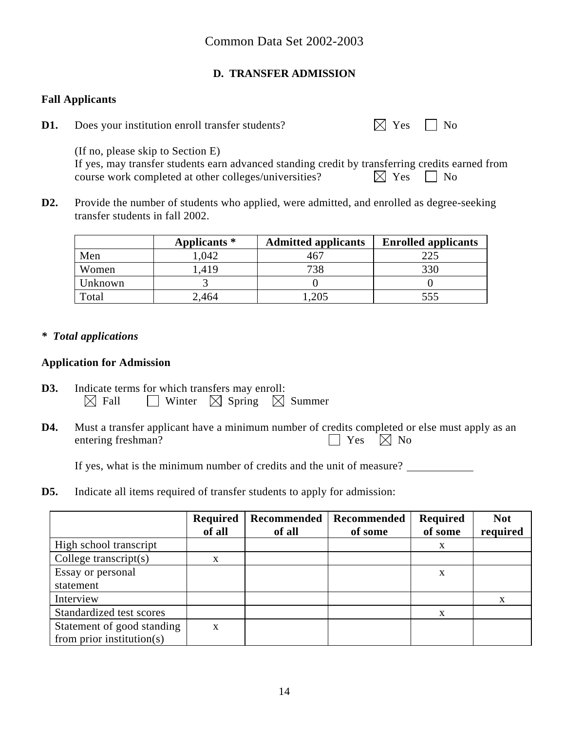### **D. TRANSFER ADMISSION**

### **Fall Applicants**

**D1.** Does your institution enroll transfer students?  $\boxtimes$  Yes  $\Box$  No

 (If no, please skip to Section E) If yes, may transfer students earn advanced standing credit by transferring credits earned from course work completed at other colleges/universities?  $\boxtimes$  Yes  $\Box$  No

**D2.** Provide the number of students who applied, were admitted, and enrolled as degree-seeking transfer students in fall 2002.

|         | Applicants * | <b>Admitted applicants</b> | <b>Enrolled applicants</b> |
|---------|--------------|----------------------------|----------------------------|
| Men     | 1,042        | 467                        | 225                        |
| Women   | 1,419        | 738                        | 330                        |
| Unknown |              |                            |                            |
| Total   | 2,464        | 0.205                      | 555                        |

### *\* Total applications*

### **Application for Admission**

- **D3.** Indicate terms for which transfers may enroll:  $\boxtimes$  Fall  $\Box$  Winter  $\boxtimes$  Spring  $\boxtimes$  Summer
- **D4.** Must a transfer applicant have a minimum number of credits completed or else must apply as an entering freshman?  $\Box$  Yes  $\Box$  No

If yes, what is the minimum number of credits and the unit of measure?

**D5.** Indicate all items required of transfer students to apply for admission:

|                            | <b>Required</b><br>of all | Recommended<br>of all | Recommended<br>of some | Required<br>of some | <b>Not</b><br>required |
|----------------------------|---------------------------|-----------------------|------------------------|---------------------|------------------------|
| High school transcript     |                           |                       |                        | X                   |                        |
| College transcript $(s)$   | X                         |                       |                        |                     |                        |
| Essay or personal          |                           |                       |                        | X                   |                        |
| statement                  |                           |                       |                        |                     |                        |
| Interview                  |                           |                       |                        |                     | X                      |
| Standardized test scores   |                           |                       |                        | X                   |                        |
| Statement of good standing | $\mathbf{x}$              |                       |                        |                     |                        |
| from prior institution(s)  |                           |                       |                        |                     |                        |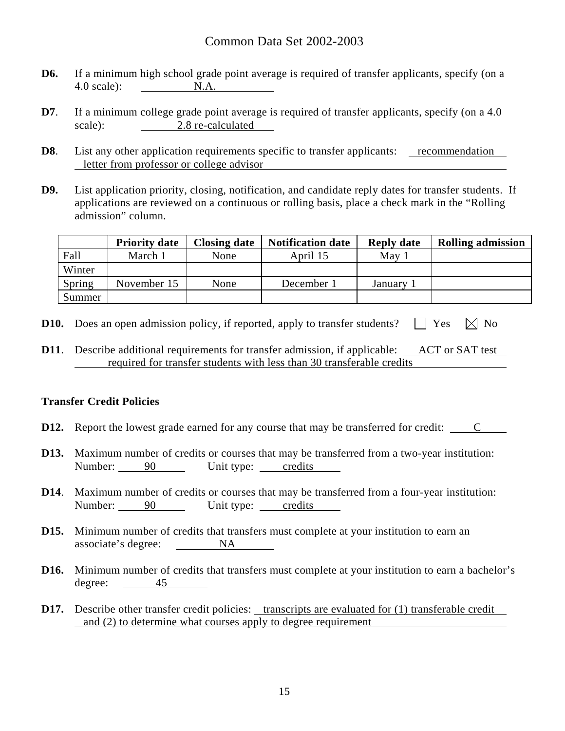- **D6.** If a minimum high school grade point average is required of transfer applicants, specify (on a 4.0 scale): N.A.
- **D7**. If a minimum college grade point average is required of transfer applicants, specify (on a 4.0) scale): 2.8 re-calculated
- **D8**. List any other application requirements specific to transfer applicants: <u>recommendation</u> letter from professor or college advisor
- **D9.** List application priority, closing, notification, and candidate reply dates for transfer students. If applications are reviewed on a continuous or rolling basis, place a check mark in the "Rolling admission" column.

|        | <b>Priority date</b> | <b>Closing date</b> | <b>Notification date</b> | <b>Reply date</b> | <b>Rolling admission</b> |
|--------|----------------------|---------------------|--------------------------|-------------------|--------------------------|
| Fall   | March 1              | None                | April 15                 | May               |                          |
| Winter |                      |                     |                          |                   |                          |
| Spring | November 15          | None                | December 1               | January           |                          |
| Summer |                      |                     |                          |                   |                          |

- **D10.** Does an open admission policy, if reported, apply to transfer students?  $\Box$  Yes  $\Box$  No
- **D11.** Describe additional requirements for transfer admission, if applicable: ACT or SAT test required for transfer students with less than 30 transferable credits

#### **Transfer Credit Policies**

- **D12.** Report the lowest grade earned for any course that may be transferred for credit: C
- **D13.** Maximum number of credits or courses that may be transferred from a two-year institution: Number: 90 Unit type: credits
- **D14**. Maximum number of credits or courses that may be transferred from a four-year institution: Number: 90 Unit type: credits
- **D15.** Minimum number of credits that transfers must complete at your institution to earn an associate's degree: NA
- **D16.** Minimum number of credits that transfers must complete at your institution to earn a bachelor's degree: 45
- **D17.** Describe other transfer credit policies: transcripts are evaluated for (1) transferable credit and (2) to determine what courses apply to degree requirement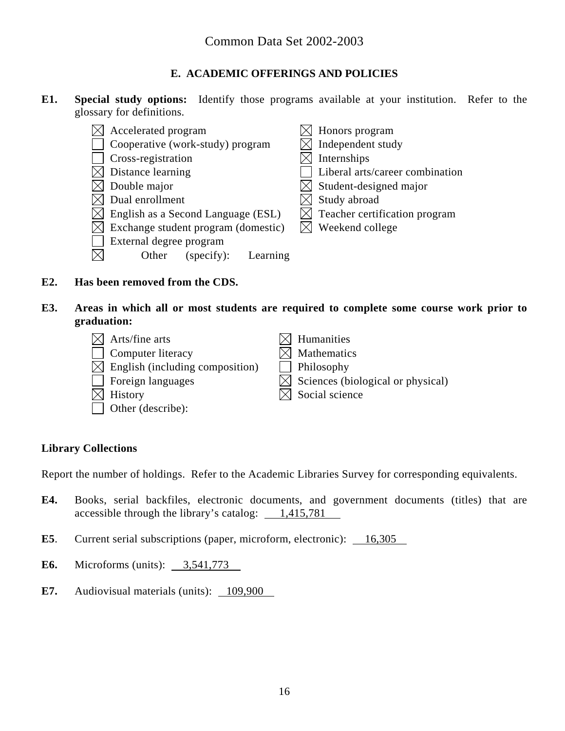### **E. ACADEMIC OFFERINGS AND POLICIES**

**E1. Special study options:** Identify those programs available at your institution. Refer to the glossary for definitions.

| Accelerated program                 | Honors program                          |
|-------------------------------------|-----------------------------------------|
| Cooperative (work-study) program    | Independent study                       |
| Cross-registration                  | Internships                             |
| Distance learning                   | Liberal arts/career combination         |
| Double major                        | $\times$ Student-designed major         |
| Dual enrollment                     | Study abroad                            |
| English as a Second Language (ESL)  | $\bowtie$ Teacher certification program |
| Exchange student program (domestic) | Weekend college                         |
| External degree program             |                                         |
| Other<br>Learning<br>(specify):     |                                         |

- **E2. Has been removed from the CDS.**
- **E3. Areas in which all or most students are required to complete some course work prior to graduation:**

| $\times$ Arts/fine arts                     | $\boxtimes$ Humanities                        |
|---------------------------------------------|-----------------------------------------------|
| Computer literacy                           | $\boxtimes$ Mathematics                       |
| $\boxtimes$ English (including composition) | Philosophy                                    |
| Foreign languages                           | $\boxtimes$ Sciences (biological or physical) |
| $\boxtimes$ History                         | $\boxtimes$ Social science                    |
| $\Box$ Other (describe):                    |                                               |

### **Library Collections**

Report the number of holdings. Refer to the Academic Libraries Survey for corresponding equivalents.

- **E4.** Books, serial backfiles, electronic documents, and government documents (titles) that are accessible through the library's catalog: 1,415,781
- **E5**. Current serial subscriptions (paper, microform, electronic): 16,305
- **E6.** Microforms (units): 3,541,773
- **E7.** Audiovisual materials (units): 109,900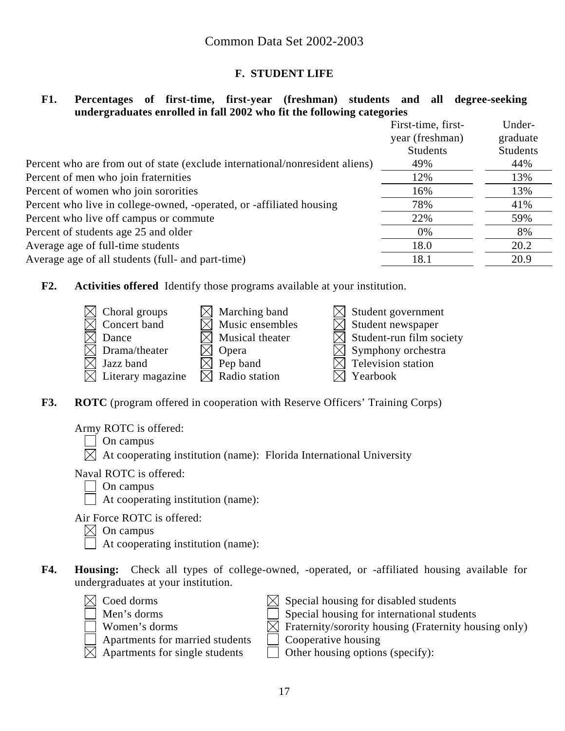### **F. STUDENT LIFE**

#### **F1. Percentages of first-time, first-year (freshman) students and all degree-seeking undergraduates enrolled in fall 2002 who fit the following categories**

|                                                                              | First-time, first- | Under-          |
|------------------------------------------------------------------------------|--------------------|-----------------|
|                                                                              | year (freshman)    | graduate        |
|                                                                              | <b>Students</b>    | <b>Students</b> |
| Percent who are from out of state (exclude international/nonresident aliens) | 49%                | 44%             |
| Percent of men who join fraternities                                         | 12%                | 13%             |
| Percent of women who join sororities                                         | 16%                | 13%             |
| Percent who live in college-owned, -operated, or -affiliated housing         | 78%                | 41%             |
| Percent who live off campus or commute                                       | 22%                | 59%             |
| Percent of students age 25 and older                                         | $0\%$              | 8%              |
| Average age of full-time students                                            | 18.0               | 20.2            |
| Average age of all students (full- and part-time)                            | 18.1               | 20.9            |
|                                                                              |                    |                 |

**F2. Activities offered** Identify those programs available at your institution.



**F3.** ROTC (program offered in cooperation with Reserve Officers' Training Corps)

Army ROTC is offered:

- On campus
- $\boxtimes$  At cooperating institution (name): Florida International University

Naval ROTC is offered:

- On campus
- $\Box$  At cooperating institution (name):

Air Force ROTC is offered:

 $\boxtimes$  On campus

At cooperating institution (name):

**F4. Housing:** Check all types of college-owned, -operated, or -affiliated housing available for undergraduates at your institution.





- $\Box$  Apartments for married students  $\Box$  Cooperative housing
- 
- $\boxtimes$  Coed dorms  $\boxtimes$  Special housing for disabled students
	- $\Box$  Men's dorms  $\Box$  Special housing for international students
	- $\Box$  Women's dorms  $\Box$  Fraternity/sorority housing (Fraternity housing only)
		-
- $\boxtimes$  Apartments for single students  $\Box$  Other housing options (specify):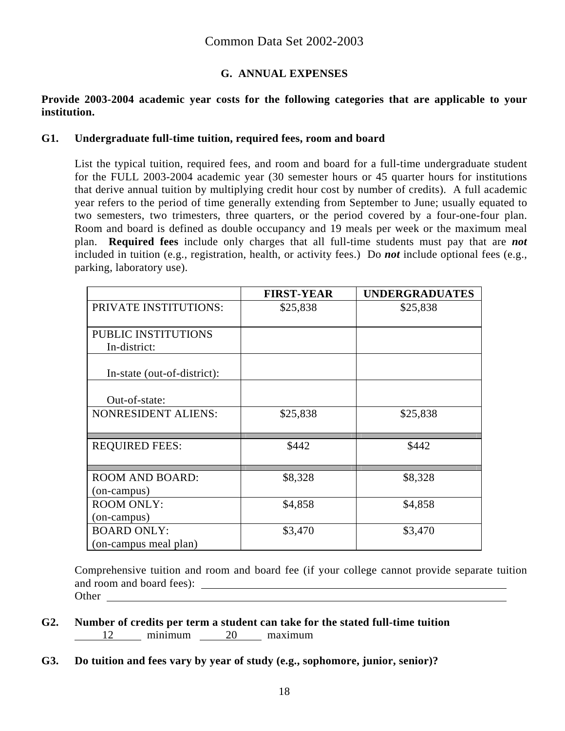### **G. ANNUAL EXPENSES**

#### **Provide 2003-2004 academic year costs for the following categories that are applicable to your institution.**

#### **G1. Undergraduate full-time tuition, required fees, room and board**

List the typical tuition, required fees, and room and board for a full-time undergraduate student for the FULL 2003-2004 academic year (30 semester hours or 45 quarter hours for institutions that derive annual tuition by multiplying credit hour cost by number of credits). A full academic year refers to the period of time generally extending from September to June; usually equated to two semesters, two trimesters, three quarters, or the period covered by a four-one-four plan. Room and board is defined as double occupancy and 19 meals per week or the maximum meal plan. **Required fees** include only charges that all full-time students must pay that are *not* included in tuition (e.g., registration, health, or activity fees.) Do *not* include optional fees (e.g., parking, laboratory use).

|                                             | <b>FIRST-YEAR</b> | <b>UNDERGRADUATES</b> |
|---------------------------------------------|-------------------|-----------------------|
| PRIVATE INSTITUTIONS:                       | \$25,838          | \$25,838              |
| PUBLIC INSTITUTIONS<br>In-district:         |                   |                       |
| In-state (out-of-district):                 |                   |                       |
| Out-of-state:                               |                   |                       |
| <b>NONRESIDENT ALIENS:</b>                  | \$25,838          | \$25,838              |
| <b>REQUIRED FEES:</b>                       | \$442             | \$442                 |
| <b>ROOM AND BOARD:</b><br>(on-campus)       | \$8,328           | \$8,328               |
| <b>ROOM ONLY:</b><br>(on-campus)            | \$4,858           | \$4,858               |
| <b>BOARD ONLY:</b><br>(on-campus meal plan) | \$3,470           | \$3,470               |

Comprehensive tuition and room and board fee (if your college cannot provide separate tuition and room and board fees):  $\qquad \qquad$ Other

- **G2. Number of credits per term a student can take for the stated full-time tuition**  12 minimum 20 maximum
- **G3. Do tuition and fees vary by year of study (e.g., sophomore, junior, senior)?**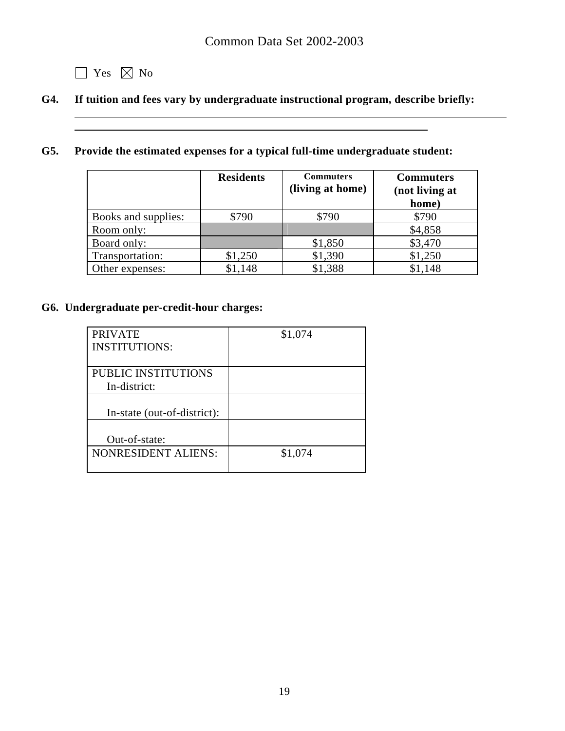**1** Yes  $\boxtimes$  No

 $\overline{a}$ 

# **G4. If tuition and fees vary by undergraduate instructional program, describe briefly:**

### **G5. Provide the estimated expenses for a typical full-time undergraduate student:**

|                     | <b>Residents</b> | <b>Commuters</b><br>(living at home) | <b>Commuters</b><br>(not living at<br>home) |
|---------------------|------------------|--------------------------------------|---------------------------------------------|
| Books and supplies: | \$790            | \$790                                | \$790                                       |
| Room only:          |                  |                                      | \$4,858                                     |
| Board only:         |                  | \$1,850                              | \$3,470                                     |
| Transportation:     | \$1,250          | \$1,390                              | \$1,250                                     |
| Other expenses:     | \$1,148          | \$1,388                              | \$1,148                                     |

### **G6. Undergraduate per-credit-hour charges:**

| <b>PRIVATE</b>              | \$1,074 |
|-----------------------------|---------|
| <b>INSTITUTIONS:</b>        |         |
|                             |         |
| PUBLIC INSTITUTIONS         |         |
| In-district:                |         |
|                             |         |
| In-state (out-of-district): |         |
|                             |         |
| Out-of-state:               |         |
| <b>NONRESIDENT ALIENS:</b>  | \$1,074 |
|                             |         |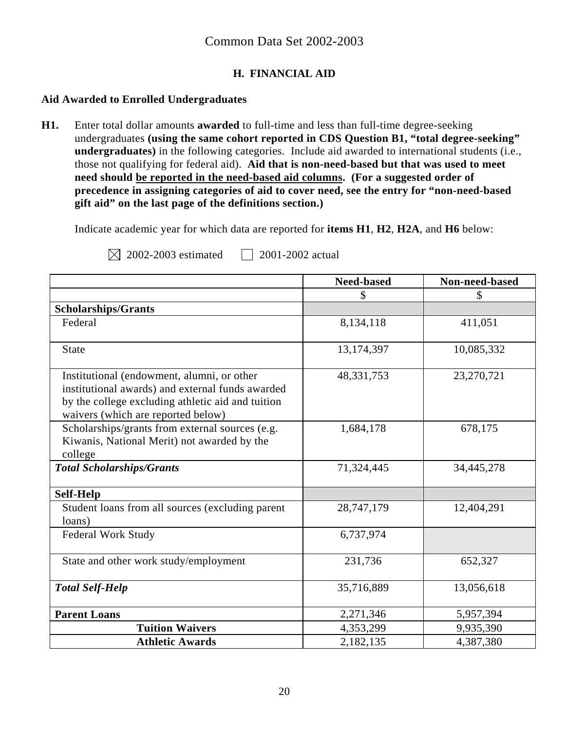### **H. FINANCIAL AID**

### **Aid Awarded to Enrolled Undergraduates**

**H1.** Enter total dollar amounts **awarded** to full-time and less than full-time degree-seeking undergraduates **(using the same cohort reported in CDS Question B1, "total degree-seeking" undergraduates)** in the following categories. Include aid awarded to international students (i.e., those not qualifying for federal aid). **Aid that is non-need-based but that was used to meet need should be reported in the need-based aid columns. (For a suggested order of precedence in assigning categories of aid to cover need, see the entry for "non-need-based gift aid" on the last page of the definitions section.)** 

Indicate academic year for which data are reported for **items H1**, **H2**, **H2A**, and **H6** below:

| $\boxtimes$ 2002-2003 e |  |
|-------------------------|--|
|                         |  |

estimated  $\Box$  2001-2002 actual

|                                                                                                                                                                                           | <b>Need-based</b> | Non-need-based |
|-------------------------------------------------------------------------------------------------------------------------------------------------------------------------------------------|-------------------|----------------|
|                                                                                                                                                                                           | \$                | S              |
| <b>Scholarships/Grants</b>                                                                                                                                                                |                   |                |
| Federal                                                                                                                                                                                   | 8,134,118         | 411,051        |
| <b>State</b>                                                                                                                                                                              | 13,174,397        | 10,085,332     |
| Institutional (endowment, alumni, or other<br>institutional awards) and external funds awarded<br>by the college excluding athletic aid and tuition<br>waivers (which are reported below) | 48, 331, 753      | 23,270,721     |
| Scholarships/grants from external sources (e.g.<br>Kiwanis, National Merit) not awarded by the<br>college                                                                                 | 1,684,178         | 678,175        |
| <b>Total Scholarships/Grants</b>                                                                                                                                                          | 71,324,445        | 34,445,278     |
| <b>Self-Help</b>                                                                                                                                                                          |                   |                |
| Student loans from all sources (excluding parent<br>loans)                                                                                                                                | 28,747,179        | 12,404,291     |
| <b>Federal Work Study</b>                                                                                                                                                                 | 6,737,974         |                |
| State and other work study/employment                                                                                                                                                     | 231,736           | 652,327        |
| <b>Total Self-Help</b>                                                                                                                                                                    | 35,716,889        | 13,056,618     |
| <b>Parent Loans</b>                                                                                                                                                                       | 2,271,346         | 5,957,394      |
| <b>Tuition Waivers</b>                                                                                                                                                                    | 4,353,299         | 9,935,390      |
| <b>Athletic Awards</b>                                                                                                                                                                    | 2,182,135         | 4,387,380      |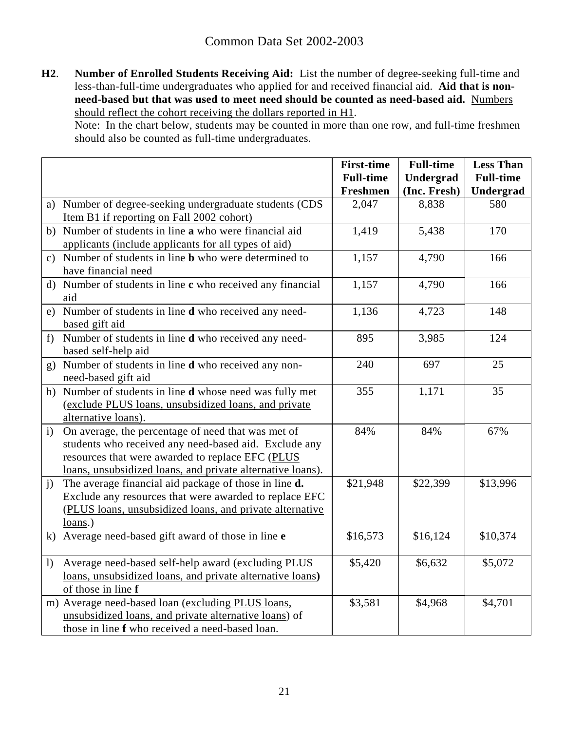**H2**. **Number of Enrolled Students Receiving Aid:** List the number of degree-seeking full-time and less-than-full-time undergraduates who applied for and received financial aid. **Aid that is nonneed-based but that was used to meet need should be counted as need-based aid.** Numbers should reflect the cohort receiving the dollars reported in H1.

Note: In the chart below, students may be counted in more than one row, and full-time freshmen should also be counted as full-time undergraduates.

|              |                                                                 | <b>First-time</b> | <b>Full-time</b> | <b>Less Than</b> |
|--------------|-----------------------------------------------------------------|-------------------|------------------|------------------|
|              |                                                                 | <b>Full-time</b>  | Undergrad        | <b>Full-time</b> |
|              |                                                                 | Freshmen          | (Inc. Fresh)     | Undergrad        |
|              | a) Number of degree-seeking undergraduate students (CDS         | 2,047             | 8,838            | 580              |
|              | Item B1 if reporting on Fall 2002 cohort)                       |                   |                  |                  |
|              | b) Number of students in line a who were financial aid          | 1,419             | 5,438            | 170              |
|              | applicants (include applicants for all types of aid)            |                   |                  |                  |
|              | c) Number of students in line <b>b</b> who were determined to   | 1,157             | 4,790            | 166              |
|              | have financial need                                             |                   |                  |                  |
|              | d) Number of students in line c who received any financial      | 1,157             | 4,790            | 166              |
|              | aid                                                             |                   |                  |                  |
|              | e) Number of students in line <b>d</b> who received any need-   | 1,136             | 4,723            | 148              |
|              | based gift aid                                                  |                   |                  |                  |
| f            | Number of students in line <b>d</b> who received any need-      | 895               | 3,985            | 124              |
|              | based self-help aid                                             |                   |                  |                  |
|              | g) Number of students in line <b>d</b> who received any non-    | 240               | 697              | 25               |
|              | need-based gift aid                                             |                   |                  |                  |
|              | h) Number of students in line <b>d</b> whose need was fully met | 355               | 1,171            | 35               |
|              | (exclude PLUS loans, unsubsidized loans, and private            |                   |                  |                  |
|              | alternative loans).                                             |                   |                  |                  |
| $\mathbf{i}$ | On average, the percentage of need that was met of              | 84%               | 84%              | 67%              |
|              | students who received any need-based aid. Exclude any           |                   |                  |                  |
|              | resources that were awarded to replace EFC (PLUS                |                   |                  |                  |
|              | loans, unsubsidized loans, and private alternative loans).      |                   |                  |                  |
| j)           | The average financial aid package of those in line d.           | \$21,948          | \$22,399         | \$13,996         |
|              | Exclude any resources that were awarded to replace EFC          |                   |                  |                  |
|              | (PLUS loans, unsubsidized loans, and private alternative        |                   |                  |                  |
|              | $loans.$ )                                                      |                   |                  |                  |
|              | k) Average need-based gift award of those in line e             | \$16,573          | \$16,124         | \$10,374         |
|              |                                                                 |                   |                  |                  |
| 1)           | Average need-based self-help award (excluding PLUS              | \$5,420           | \$6,632          | \$5,072          |
|              | loans, unsubsidized loans, and private alternative loans)       |                   |                  |                  |
|              | of those in line f                                              |                   |                  |                  |
|              | m) Average need-based loan (excluding PLUS loans,               | \$3,581           | \$4,968          | \$4,701          |
|              | unsubsidized loans, and private alternative loans) of           |                   |                  |                  |
|              | those in line f who received a need-based loan.                 |                   |                  |                  |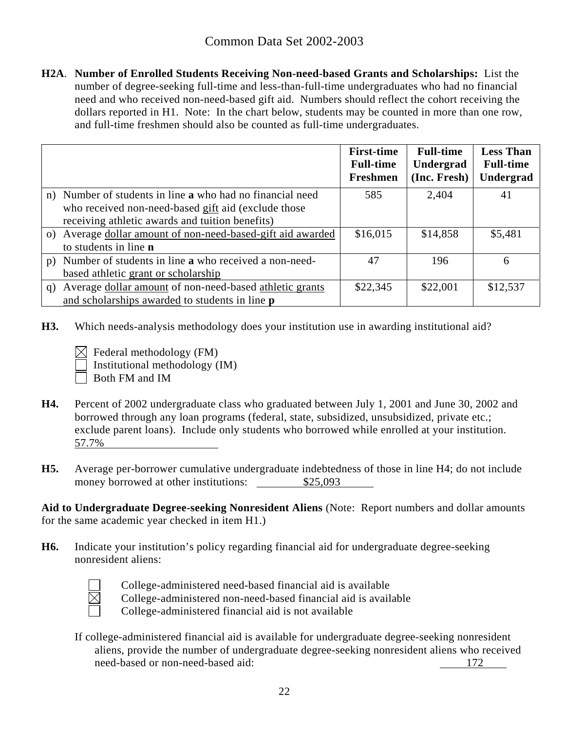**H2A**. **Number of Enrolled Students Receiving Non-need-based Grants and Scholarships:** List the number of degree-seeking full-time and less-than-full-time undergraduates who had no financial need and who received non-need-based gift aid. Numbers should reflect the cohort receiving the dollars reported in H1. Note: In the chart below, students may be counted in more than one row, and full-time freshmen should also be counted as full-time undergraduates.

|    |                                                                                                                  | <b>First-time</b><br><b>Full-time</b><br><b>Freshmen</b> | <b>Full-time</b><br>Undergrad<br>(Inc. Fresh) | <b>Less Than</b><br><b>Full-time</b><br>Undergrad |
|----|------------------------------------------------------------------------------------------------------------------|----------------------------------------------------------|-----------------------------------------------|---------------------------------------------------|
|    | n) Number of students in line <b>a</b> who had no financial need                                                 | 585                                                      | 2,404                                         | 41                                                |
|    | who received non-need-based gift aid (exclude those<br>receiving athletic awards and tuition benefits)           |                                                          |                                               |                                                   |
|    | o) Average dollar amount of non-need-based-gift aid awarded<br>to students in line <b>n</b>                      | \$16,015                                                 | \$14,858                                      | \$5,481                                           |
| p) | Number of students in line <b>a</b> who received a non-need-                                                     | 47                                                       | 196                                           | 6                                                 |
|    | based athletic grant or scholarship                                                                              |                                                          |                                               |                                                   |
| q) | Average dollar amount of non-need-based athletic grants<br>and scholarships awarded to students in line <b>p</b> | \$22,345                                                 | \$22,001                                      | \$12,537                                          |

- **H3.** Which needs-analysis methodology does your institution use in awarding institutional aid?
	- $\boxtimes$  Federal methodology (FM) Institutional methodology (IM)
	- Both FM and IM
- **H4.** Percent of 2002 undergraduate class who graduated between July 1, 2001 and June 30, 2002 and borrowed through any loan programs (federal, state, subsidized, unsubsidized, private etc.; exclude parent loans). Include only students who borrowed while enrolled at your institution. 57.7%
- **H5.** Average per-borrower cumulative undergraduate indebtedness of those in line H4; do not include money borrowed at other institutions:  $$25,093$

**Aid to Undergraduate Degree-seeking Nonresident Aliens** (Note: Report numbers and dollar amounts for the same academic year checked in item H1.)

**H6.** Indicate your institution's policy regarding financial aid for undergraduate degree-seeking nonresident aliens:



College-administered need-based financial aid is available

College-administered non-need-based financial aid is available

College-administered financial aid is not available

If college-administered financial aid is available for undergraduate degree-seeking nonresident aliens, provide the number of undergraduate degree-seeking nonresident aliens who received need-based or non-need-based aid: 172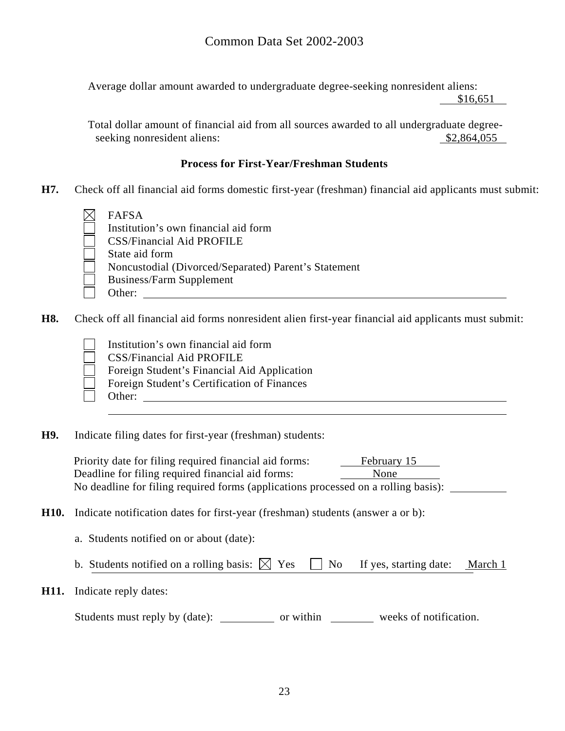Average dollar amount awarded to undergraduate degree-seeking nonresident aliens: \$16,651

Total dollar amount of financial aid from all sources awarded to all undergraduate degreeseeking nonresident aliens:  $$2,864,055$ 

#### **Process for First-Year/Freshman Students**

- **H7.** Check off all financial aid forms domestic first-year (freshman) financial aid applicants must submit:
	- FAFSA

 Institution's own financial aid form CSS/Financial Aid PROFILE State aid form Noncustodial (Divorced/Separated) Parent's Statement Business/Farm Supplement Other:

**H8.** Check off all financial aid forms nonresident alien first-year financial aid applicants must submit:

 Institution's own financial aid form CSS/Financial Aid PROFILE Foreign Student's Financial Aid Application Foreign Student's Certification of Finances Other: when the contract of the contract of the contract of the contract of the contract of the contract of the contract of the contract of the contract of the contract of the contract of the contract of the contract of th

**H9.** Indicate filing dates for first-year (freshman) students:

Priority date for filing required financial aid forms: February 15 Deadline for filing required financial aid forms: None No deadline for filing required forms (applications processed on a rolling basis):

- **H10.** Indicate notification dates for first-year (freshman) students (answer a or b):
	- a. Students notified on or about (date):
	- b. Students notified on a rolling basis:  $\boxtimes$  Yes  $\Box$  No If yes, starting date: March 1
- **H11.** Indicate reply dates:

Students must reply by (date): \_\_\_\_\_\_\_\_\_\_\_\_\_ or within \_\_\_\_\_\_\_\_\_\_\_ weeks of notification.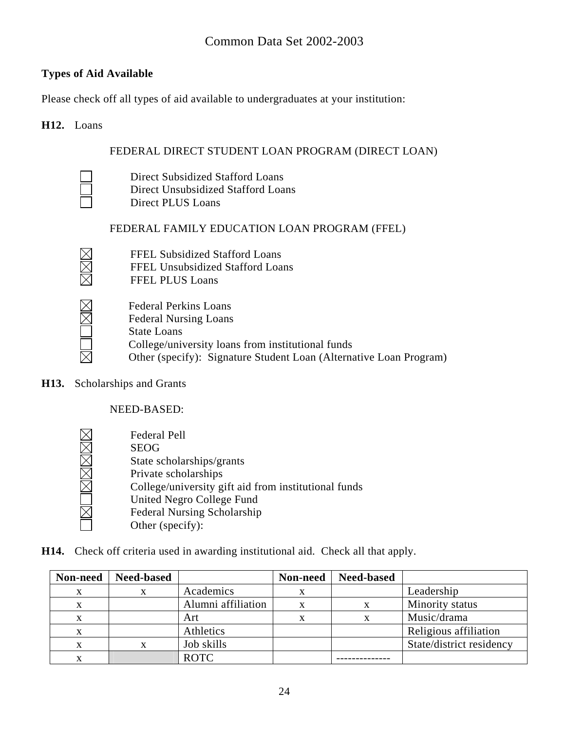### **Types of Aid Available**

Please check off all types of aid available to undergraduates at your institution:

#### **H12.** Loans

### FEDERAL DIRECT STUDENT LOAN PROGRAM (DIRECT LOAN)

 $\overline{\boxtimes}$ 

 Direct Subsidized Stafford Loans Direct Unsubsidized Stafford Loans Direct PLUS Loans

### FEDERAL FAMILY EDUCATION LOAN PROGRAM (FFEL)

| $\boxtimes$ | <b>FFEL Subsidized Stafford Loans</b> |
|-------------|---------------------------------------|
| $\boxtimes$ | FFEL Unsubsidized Stafford Loans      |
| $\boxtimes$ | <b>FFEL PLUS Loans</b>                |

| <b>Federal Perkins Loans</b>                                       |
|--------------------------------------------------------------------|
| <b>Federal Nursing Loans</b>                                       |
| <b>State Loans</b>                                                 |
| College/university loans from institutional funds                  |
| Other (specify): Signature Student Loan (Alternative Loan Program) |
|                                                                    |

**H13.** Scholarships and Grants

NEED-BASED:

 Federal Pell MOMMMMM SEOG State scholarships/grants Private scholarships College/university gift aid from institutional funds United Negro College Fund Federal Nursing Scholarship Other (specify):

**H14.** Check off criteria used in awarding institutional aid. Check all that apply.

| Non-need | <b>Need-based</b> |                    | Non-need | <b>Need-based</b> |                          |
|----------|-------------------|--------------------|----------|-------------------|--------------------------|
| X        | X                 | Academics          |          |                   | Leadership               |
| X        |                   | Alumni affiliation |          |                   | Minority status          |
| x        |                   | Art                | x        |                   | Music/drama              |
| X        |                   | Athletics          |          |                   | Religious affiliation    |
| X        |                   | Job skills         |          |                   | State/district residency |
| x        |                   | <b>ROTC</b>        |          |                   |                          |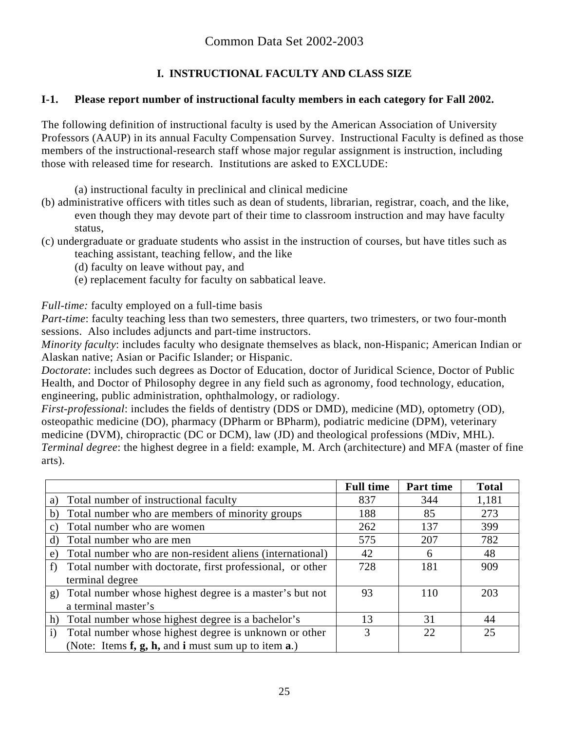# **I. INSTRUCTIONAL FACULTY AND CLASS SIZE**

### **I-1. Please report number of instructional faculty members in each category for Fall 2002.**

The following definition of instructional faculty is used by the American Association of University Professors (AAUP) in its annual Faculty Compensation Survey. Instructional Faculty is defined as those members of the instructional-research staff whose major regular assignment is instruction, including those with released time for research. Institutions are asked to EXCLUDE:

(a) instructional faculty in preclinical and clinical medicine

- (b) administrative officers with titles such as dean of students, librarian, registrar, coach, and the like, even though they may devote part of their time to classroom instruction and may have faculty status,
- (c) undergraduate or graduate students who assist in the instruction of courses, but have titles such as teaching assistant, teaching fellow, and the like
	- (d) faculty on leave without pay, and
	- (e) replacement faculty for faculty on sabbatical leave.

*Full-time:* faculty employed on a full-time basis

*Part-time*: faculty teaching less than two semesters, three quarters, two trimesters, or two four-month sessions. Also includes adjuncts and part-time instructors.

*Minority faculty*: includes faculty who designate themselves as black, non-Hispanic; American Indian or Alaskan native; Asian or Pacific Islander; or Hispanic.

*Doctorate*: includes such degrees as Doctor of Education, doctor of Juridical Science, Doctor of Public Health, and Doctor of Philosophy degree in any field such as agronomy, food technology, education, engineering, public administration, ophthalmology, or radiology.

*First-professional*: includes the fields of dentistry (DDS or DMD), medicine (MD), optometry (OD), osteopathic medicine (DO), pharmacy (DPharm or BPharm), podiatric medicine (DPM), veterinary medicine (DVM), chiropractic (DC or DCM), law (JD) and theological professions (MDiv, MHL). *Terminal degree*: the highest degree in a field: example, M. Arch (architecture) and MFA (master of fine arts).

|                                                                       | <b>Full time</b> | Part time | <b>Total</b> |
|-----------------------------------------------------------------------|------------------|-----------|--------------|
| Total number of instructional faculty<br>a)                           | 837              | 344       | 1,181        |
| Total number who are members of minority groups<br>b)                 | 188              | 85        | 273          |
| Total number who are women<br>C)                                      | 262              | 137       | 399          |
| Total number who are men<br>d)                                        | 575              | 207       | 782          |
| Total number who are non-resident aliens (international)<br>e)        | 42               | 6         | 48           |
| Total number with doctorate, first professional, or other             | 728              | 181       | 909          |
| terminal degree                                                       |                  |           |              |
| Total number whose highest degree is a master's but not<br>g)         | 93               | 110       | 203          |
| a terminal master's                                                   |                  |           |              |
| Total number whose highest degree is a bachelor's<br>h)               | 13               | 31        | 44           |
| Total number whose highest degree is unknown or other<br>$\mathbf{i}$ | 3                | 22        | 25           |
| (Note: Items f, g, h, and i must sum up to item a.)                   |                  |           |              |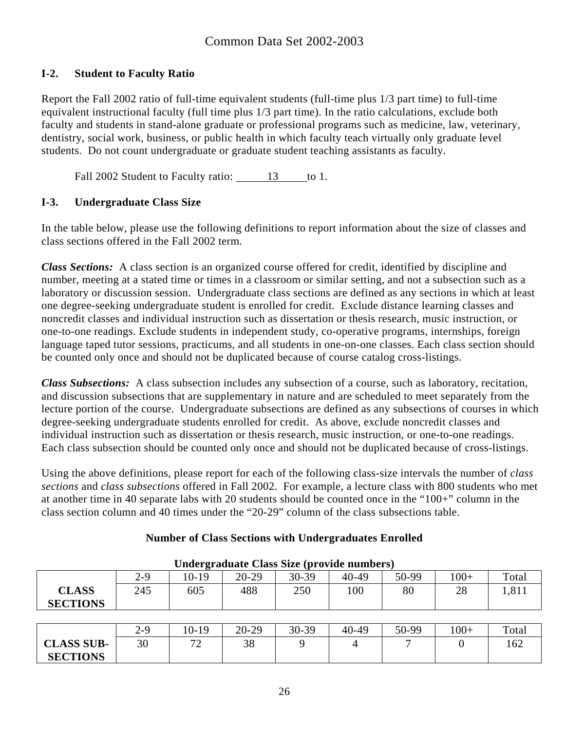### **I-2. Student to Faculty Ratio**

Report the Fall 2002 ratio of full-time equivalent students (full-time plus 1/3 part time) to full-time equivalent instructional faculty (full time plus 1/3 part time). In the ratio calculations, exclude both faculty and students in stand-alone graduate or professional programs such as medicine, law, veterinary, dentistry, social work, business, or public health in which faculty teach virtually only graduate level students. Do not count undergraduate or graduate student teaching assistants as faculty.

Fall 2002 Student to Faculty ratio: 13 to 1.

### **I-3. Undergraduate Class Size**

In the table below, please use the following definitions to report information about the size of classes and class sections offered in the Fall 2002 term.

*Class Sections:* A class section is an organized course offered for credit, identified by discipline and number, meeting at a stated time or times in a classroom or similar setting, and not a subsection such as a laboratory or discussion session. Undergraduate class sections are defined as any sections in which at least one degree-seeking undergraduate student is enrolled for credit. Exclude distance learning classes and noncredit classes and individual instruction such as dissertation or thesis research, music instruction, or one-to-one readings. Exclude students in independent study, co-operative programs, internships, foreign language taped tutor sessions, practicums, and all students in one-on-one classes. Each class section should be counted only once and should not be duplicated because of course catalog cross-listings.

*Class Subsections:* A class subsection includes any subsection of a course, such as laboratory, recitation, and discussion subsections that are supplementary in nature and are scheduled to meet separately from the lecture portion of the course. Undergraduate subsections are defined as any subsections of courses in which degree-seeking undergraduate students enrolled for credit. As above, exclude noncredit classes and individual instruction such as dissertation or thesis research, music instruction, or one-to-one readings. Each class subsection should be counted only once and should not be duplicated because of cross-listings.

Using the above definitions, please report for each of the following class-size intervals the number of *class sections* and *class subsections* offered in Fall 2002. For example, a lecture class with 800 students who met at another time in 40 separate labs with 20 students should be counted once in the "100+" column in the class section column and 40 times under the "20-29" column of the class subsections table.

| Undergraduate Class Size (provide numbers) |     |       |           |           |           |       |       |       |
|--------------------------------------------|-----|-------|-----------|-----------|-----------|-------|-------|-------|
|                                            | 2-9 | 10-19 | $20 - 29$ | $30 - 39$ | $40 - 49$ | 50-99 | $00+$ | Total |
| <b>CLASS</b><br><b>SECTIONS</b>            | 245 | 605   | 488       | 250       | 100       | 80    | 28    | 1,811 |
|                                            |     |       |           |           |           |       |       |       |

### **Number of Class Sections with Undergraduates Enrolled**

|                   | $2 - 9$ | 10-19           | $20 - 29$ | 30-39 | $40 - 49$ | 50-99 | $100+$ | Total |
|-------------------|---------|-----------------|-----------|-------|-----------|-------|--------|-------|
| <b>CLASS SUB-</b> | 30      | $\sqrt{2}$<br>∼ | 38        |       |           |       |        | 162   |
| <b>SECTIONS</b>   |         |                 |           |       |           |       |        |       |

**Undergraduate Class Size (provide numbers)**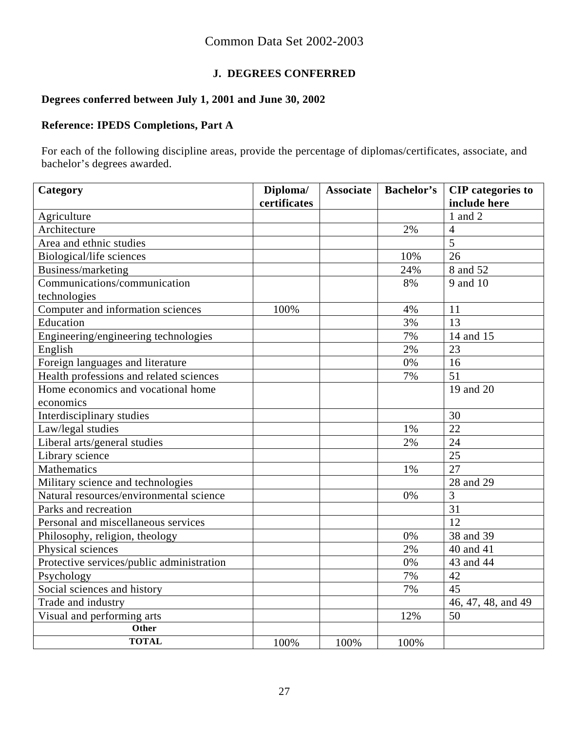# **J. DEGREES CONFERRED**

# **Degrees conferred between July 1, 2001 and June 30, 2002**

### **Reference: IPEDS Completions, Part A**

For each of the following discipline areas, provide the percentage of diplomas/certificates, associate, and bachelor's degrees awarded.

| Category                                  | Diploma/     | <b>Associate</b> | <b>Bachelor's</b> | <b>CIP</b> categories to |
|-------------------------------------------|--------------|------------------|-------------------|--------------------------|
|                                           | certificates |                  |                   | include here             |
| Agriculture                               |              |                  |                   | 1 and 2                  |
| Architecture                              |              |                  | 2%                | $\overline{4}$           |
| Area and ethnic studies                   |              |                  |                   | 5                        |
| Biological/life sciences                  |              |                  | 10%               | 26                       |
| Business/marketing                        |              |                  | 24%               | 8 and 52                 |
| Communications/communication              |              |                  | 8%                | 9 and 10                 |
| technologies                              |              |                  |                   |                          |
| Computer and information sciences         | 100%         |                  | 4%                | 11                       |
| Education                                 |              |                  | 3%                | 13                       |
| Engineering/engineering technologies      |              |                  | 7%                | 14 and 15                |
| English                                   |              |                  | 2%                | 23                       |
| Foreign languages and literature          |              |                  | 0%                | 16                       |
| Health professions and related sciences   |              |                  | 7%                | 51                       |
| Home economics and vocational home        |              |                  |                   | 19 and 20                |
| economics                                 |              |                  |                   |                          |
| Interdisciplinary studies                 |              |                  |                   | 30                       |
| Law/legal studies                         |              |                  | 1%                | 22                       |
| Liberal arts/general studies              |              |                  | 2%                | 24                       |
| Library science                           |              |                  |                   | 25                       |
| Mathematics                               |              |                  | 1%                | 27                       |
| Military science and technologies         |              |                  |                   | 28 and 29                |
| Natural resources/environmental science   |              |                  | 0%                | 3                        |
| Parks and recreation                      |              |                  |                   | 31                       |
| Personal and miscellaneous services       |              |                  |                   | 12                       |
| Philosophy, religion, theology            |              |                  | 0%                | 38 and 39                |
| Physical sciences                         |              |                  | 2%                | 40 and 41                |
| Protective services/public administration |              |                  | 0%                | 43 and 44                |
| Psychology                                |              |                  | 7%                | 42                       |
| Social sciences and history               |              |                  | 7%                | 45                       |
| Trade and industry                        |              |                  |                   | 46, 47, 48, and 49       |
| Visual and performing arts                |              |                  | 12%               | 50                       |
| Other                                     |              |                  |                   |                          |
| <b>TOTAL</b>                              | 100%         | 100%             | 100%              |                          |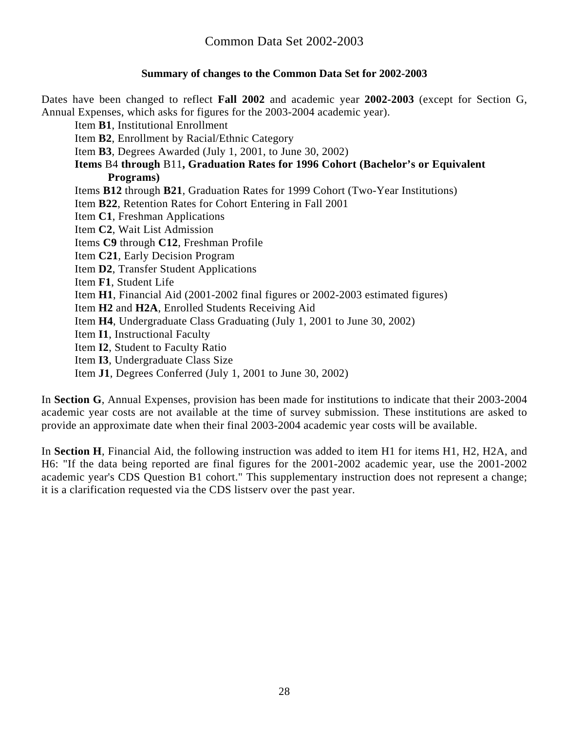### **Summary of changes to the Common Data Set for 2002-2003**

Dates have been changed to reflect **Fall 2002** and academic year **2002-2003** (except for Section G, Annual Expenses, which asks for figures for the 2003-2004 academic year).

Item **B1**, Institutional Enrollment

Item **B2**, Enrollment by Racial/Ethnic Category

Item **B3**, Degrees Awarded (July 1, 2001, to June 30, 2002)

**Items** B4 **through** B11**, Graduation Rates for 1996 Cohort (Bachelor's or Equivalent Programs)** 

Items **B12** through **B21**, Graduation Rates for 1999 Cohort (Two-Year Institutions)

Item **B22**, Retention Rates for Cohort Entering in Fall 2001

Item **C1**, Freshman Applications

Item **C2**, Wait List Admission

Items **C9** through **C12**, Freshman Profile

Item **C21**, Early Decision Program

Item **D2**, Transfer Student Applications

Item **F1**, Student Life

Item **H1**, Financial Aid (2001-2002 final figures or 2002-2003 estimated figures)

Item **H2** and **H2A**, Enrolled Students Receiving Aid

Item **H4**, Undergraduate Class Graduating (July 1, 2001 to June 30, 2002)

Item **I1**, Instructional Faculty

- Item **I2**, Student to Faculty Ratio
- Item **I3**, Undergraduate Class Size

Item **J1**, Degrees Conferred (July 1, 2001 to June 30, 2002)

In **Section G**, Annual Expenses, provision has been made for institutions to indicate that their 2003-2004 academic year costs are not available at the time of survey submission. These institutions are asked to provide an approximate date when their final 2003-2004 academic year costs will be available.

In **Section H**, Financial Aid, the following instruction was added to item H1 for items H1, H2, H2A, and H6: "If the data being reported are final figures for the 2001-2002 academic year, use the 2001-2002 academic year's CDS Question B1 cohort." This supplementary instruction does not represent a change; it is a clarification requested via the CDS listserv over the past year.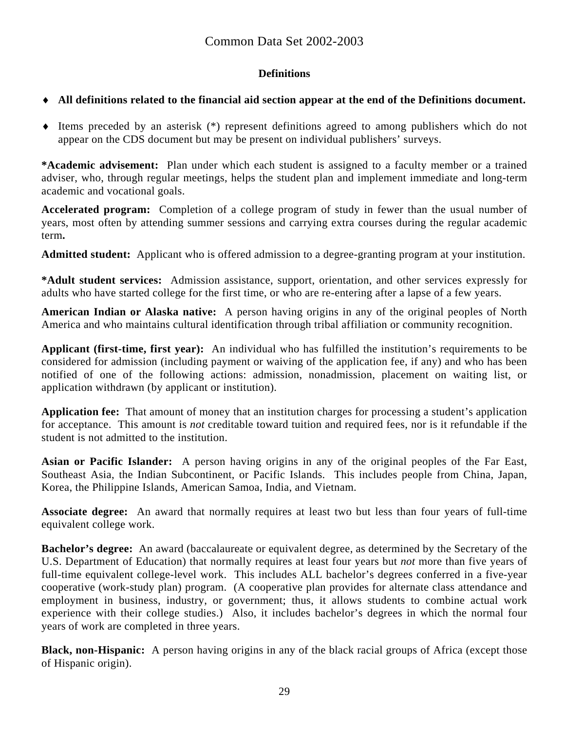### **Definitions**

### ♦ **All definitions related to the financial aid section appear at the end of the Definitions document.**

♦ Items preceded by an asterisk (\*) represent definitions agreed to among publishers which do not appear on the CDS document but may be present on individual publishers' surveys.

**\*Academic advisement:** Plan under which each student is assigned to a faculty member or a trained adviser, who, through regular meetings, helps the student plan and implement immediate and long-term academic and vocational goals.

**Accelerated program:** Completion of a college program of study in fewer than the usual number of years, most often by attending summer sessions and carrying extra courses during the regular academic term**.** 

**Admitted student:** Applicant who is offered admission to a degree-granting program at your institution.

**\*Adult student services:** Admission assistance, support, orientation, and other services expressly for adults who have started college for the first time, or who are re-entering after a lapse of a few years.

**American Indian or Alaska native:** A person having origins in any of the original peoples of North America and who maintains cultural identification through tribal affiliation or community recognition.

**Applicant (first-time, first year):** An individual who has fulfilled the institution's requirements to be considered for admission (including payment or waiving of the application fee, if any) and who has been notified of one of the following actions: admission, nonadmission, placement on waiting list, or application withdrawn (by applicant or institution).

**Application fee:** That amount of money that an institution charges for processing a student's application for acceptance. This amount is *not* creditable toward tuition and required fees, nor is it refundable if the student is not admitted to the institution.

**Asian or Pacific Islander:** A person having origins in any of the original peoples of the Far East, Southeast Asia, the Indian Subcontinent, or Pacific Islands. This includes people from China, Japan, Korea, the Philippine Islands, American Samoa, India, and Vietnam.

**Associate degree:** An award that normally requires at least two but less than four years of full-time equivalent college work.

**Bachelor's degree:** An award (baccalaureate or equivalent degree, as determined by the Secretary of the U.S. Department of Education) that normally requires at least four years but *not* more than five years of full-time equivalent college-level work. This includes ALL bachelor's degrees conferred in a five-year cooperative (work-study plan) program. (A cooperative plan provides for alternate class attendance and employment in business, industry, or government; thus, it allows students to combine actual work experience with their college studies.) Also, it includes bachelor's degrees in which the normal four years of work are completed in three years.

**Black, non-Hispanic:** A person having origins in any of the black racial groups of Africa (except those of Hispanic origin).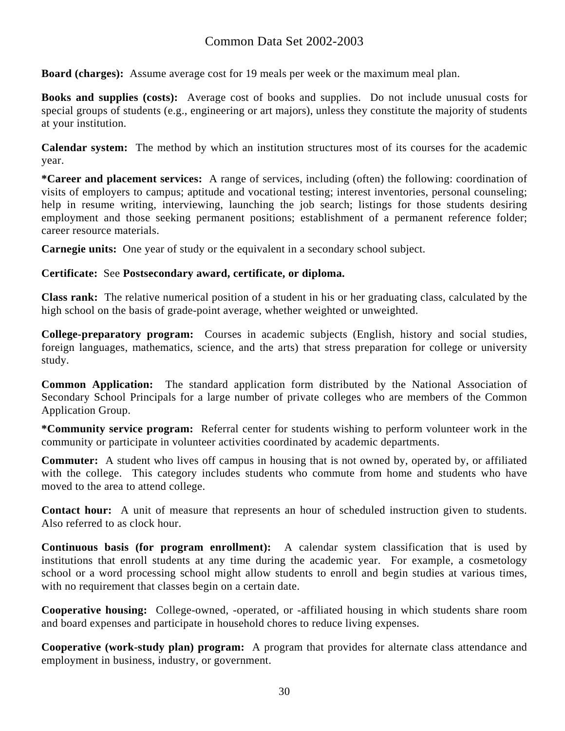**Board (charges):** Assume average cost for 19 meals per week or the maximum meal plan.

**Books and supplies (costs):** Average cost of books and supplies. Do not include unusual costs for special groups of students (e.g., engineering or art majors), unless they constitute the majority of students at your institution.

**Calendar system:** The method by which an institution structures most of its courses for the academic year.

**\*Career and placement services:** A range of services, including (often) the following: coordination of visits of employers to campus; aptitude and vocational testing; interest inventories, personal counseling; help in resume writing, interviewing, launching the job search; listings for those students desiring employment and those seeking permanent positions; establishment of a permanent reference folder; career resource materials.

**Carnegie units:** One year of study or the equivalent in a secondary school subject.

#### **Certificate:** See **Postsecondary award, certificate, or diploma.**

**Class rank:** The relative numerical position of a student in his or her graduating class, calculated by the high school on the basis of grade-point average, whether weighted or unweighted.

**College-preparatory program:** Courses in academic subjects (English, history and social studies, foreign languages, mathematics, science, and the arts) that stress preparation for college or university study.

**Common Application:** The standard application form distributed by the National Association of Secondary School Principals for a large number of private colleges who are members of the Common Application Group.

**\*Community service program:** Referral center for students wishing to perform volunteer work in the community or participate in volunteer activities coordinated by academic departments.

**Commuter:** A student who lives off campus in housing that is not owned by, operated by, or affiliated with the college. This category includes students who commute from home and students who have moved to the area to attend college.

**Contact hour:** A unit of measure that represents an hour of scheduled instruction given to students. Also referred to as clock hour.

**Continuous basis (for program enrollment):** A calendar system classification that is used by institutions that enroll students at any time during the academic year. For example, a cosmetology school or a word processing school might allow students to enroll and begin studies at various times, with no requirement that classes begin on a certain date.

**Cooperative housing:** College-owned, -operated, or -affiliated housing in which students share room and board expenses and participate in household chores to reduce living expenses.

**Cooperative (work-study plan) program:** A program that provides for alternate class attendance and employment in business, industry, or government.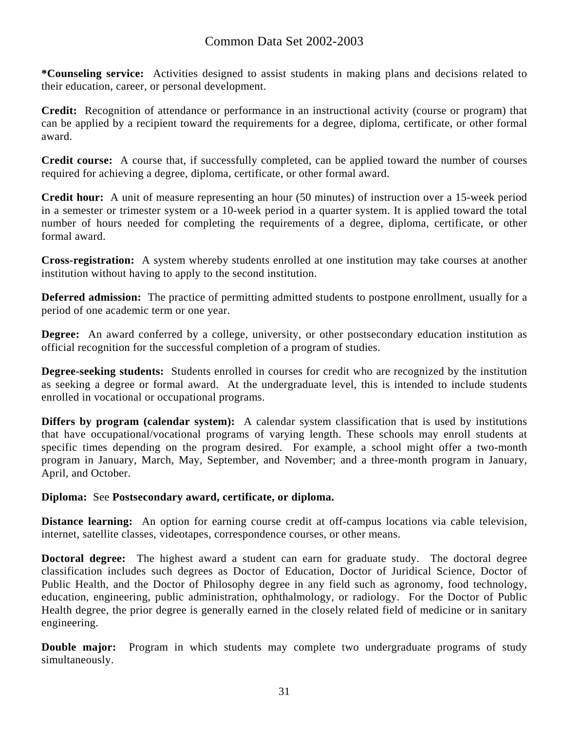**\*Counseling service:** Activities designed to assist students in making plans and decisions related to their education, career, or personal development.

**Credit:** Recognition of attendance or performance in an instructional activity (course or program) that can be applied by a recipient toward the requirements for a degree, diploma, certificate, or other formal award.

**Credit course:** A course that, if successfully completed, can be applied toward the number of courses required for achieving a degree, diploma, certificate, or other formal award.

**Credit hour:** A unit of measure representing an hour (50 minutes) of instruction over a 15-week period in a semester or trimester system or a 10-week period in a quarter system. It is applied toward the total number of hours needed for completing the requirements of a degree, diploma, certificate, or other formal award.

**Cross-registration:** A system whereby students enrolled at one institution may take courses at another institution without having to apply to the second institution.

**Deferred admission:** The practice of permitting admitted students to postpone enrollment, usually for a period of one academic term or one year.

**Degree:** An award conferred by a college, university, or other postsecondary education institution as official recognition for the successful completion of a program of studies.

**Degree-seeking students:** Students enrolled in courses for credit who are recognized by the institution as seeking a degree or formal award. At the undergraduate level, this is intended to include students enrolled in vocational or occupational programs.

**Differs by program (calendar system):** A calendar system classification that is used by institutions that have occupational/vocational programs of varying length. These schools may enroll students at specific times depending on the program desired. For example, a school might offer a two-month program in January, March, May, September, and November; and a three-month program in January, April, and October.

#### **Diploma:** See **Postsecondary award, certificate, or diploma.**

**Distance learning:** An option for earning course credit at off-campus locations via cable television, internet, satellite classes, videotapes, correspondence courses, or other means.

**Doctoral degree:** The highest award a student can earn for graduate study. The doctoral degree classification includes such degrees as Doctor of Education, Doctor of Juridical Science, Doctor of Public Health, and the Doctor of Philosophy degree in any field such as agronomy, food technology, education, engineering, public administration, ophthalmology, or radiology. For the Doctor of Public Health degree, the prior degree is generally earned in the closely related field of medicine or in sanitary engineering.

**Double major:** Program in which students may complete two undergraduate programs of study simultaneously.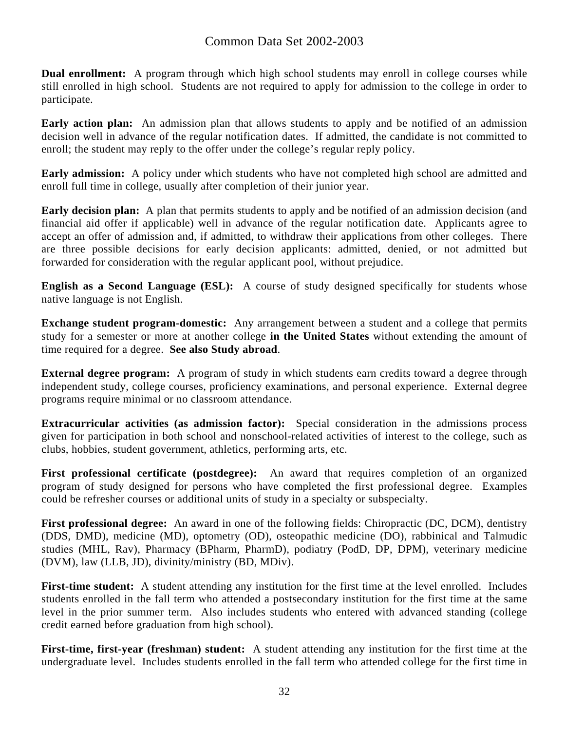**Dual enrollment:** A program through which high school students may enroll in college courses while still enrolled in high school. Students are not required to apply for admission to the college in order to participate.

**Early action plan:** An admission plan that allows students to apply and be notified of an admission decision well in advance of the regular notification dates. If admitted, the candidate is not committed to enroll; the student may reply to the offer under the college's regular reply policy.

**Early admission:** A policy under which students who have not completed high school are admitted and enroll full time in college, usually after completion of their junior year.

**Early decision plan:** A plan that permits students to apply and be notified of an admission decision (and financial aid offer if applicable) well in advance of the regular notification date. Applicants agree to accept an offer of admission and, if admitted, to withdraw their applications from other colleges. There are three possible decisions for early decision applicants: admitted, denied, or not admitted but forwarded for consideration with the regular applicant pool, without prejudice.

**English as a Second Language (ESL):** A course of study designed specifically for students whose native language is not English.

**Exchange student program-domestic:** Any arrangement between a student and a college that permits study for a semester or more at another college **in the United States** without extending the amount of time required for a degree. **See also Study abroad**.

**External degree program:** A program of study in which students earn credits toward a degree through independent study, college courses, proficiency examinations, and personal experience. External degree programs require minimal or no classroom attendance.

**Extracurricular activities (as admission factor):** Special consideration in the admissions process given for participation in both school and nonschool-related activities of interest to the college, such as clubs, hobbies, student government, athletics, performing arts, etc.

**First professional certificate (postdegree):** An award that requires completion of an organized program of study designed for persons who have completed the first professional degree. Examples could be refresher courses or additional units of study in a specialty or subspecialty.

**First professional degree:** An award in one of the following fields: Chiropractic (DC, DCM), dentistry (DDS, DMD), medicine (MD), optometry (OD), osteopathic medicine (DO), rabbinical and Talmudic studies (MHL, Rav), Pharmacy (BPharm, PharmD), podiatry (PodD, DP, DPM), veterinary medicine (DVM), law (LLB, JD), divinity/ministry (BD, MDiv).

**First-time student:** A student attending any institution for the first time at the level enrolled. Includes students enrolled in the fall term who attended a postsecondary institution for the first time at the same level in the prior summer term. Also includes students who entered with advanced standing (college credit earned before graduation from high school).

**First-time, first-year (freshman) student:** A student attending any institution for the first time at the undergraduate level. Includes students enrolled in the fall term who attended college for the first time in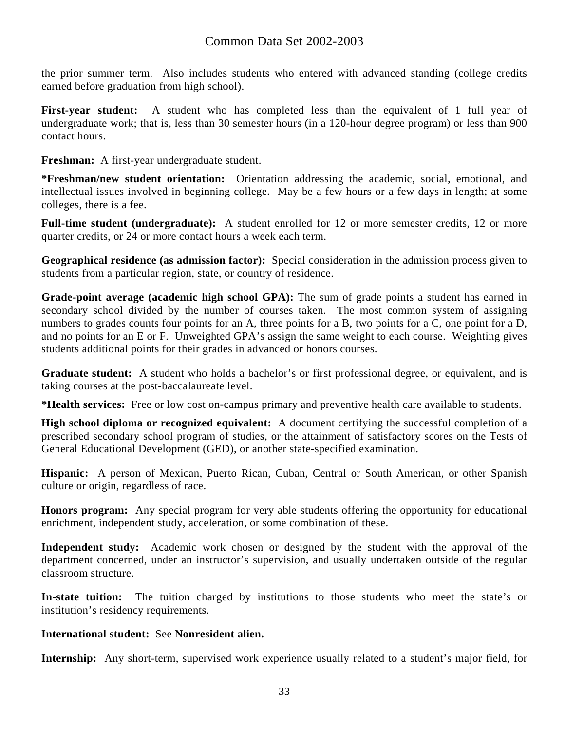the prior summer term. Also includes students who entered with advanced standing (college credits earned before graduation from high school).

First-year student: A student who has completed less than the equivalent of 1 full year of undergraduate work; that is, less than 30 semester hours (in a 120-hour degree program) or less than 900 contact hours.

**Freshman:** A first-year undergraduate student.

**\*Freshman/new student orientation:** Orientation addressing the academic, social, emotional, and intellectual issues involved in beginning college. May be a few hours or a few days in length; at some colleges, there is a fee.

Full-time student (undergraduate): A student enrolled for 12 or more semester credits, 12 or more quarter credits, or 24 or more contact hours a week each term.

**Geographical residence (as admission factor):** Special consideration in the admission process given to students from a particular region, state, or country of residence.

**Grade-point average (academic high school GPA):** The sum of grade points a student has earned in secondary school divided by the number of courses taken. The most common system of assigning numbers to grades counts four points for an A, three points for a B, two points for a C, one point for a D, and no points for an E or F. Unweighted GPA's assign the same weight to each course. Weighting gives students additional points for their grades in advanced or honors courses.

**Graduate student:** A student who holds a bachelor's or first professional degree, or equivalent, and is taking courses at the post-baccalaureate level.

**\*Health services:** Free or low cost on-campus primary and preventive health care available to students.

**High school diploma or recognized equivalent:** A document certifying the successful completion of a prescribed secondary school program of studies, or the attainment of satisfactory scores on the Tests of General Educational Development (GED), or another state-specified examination.

**Hispanic:** A person of Mexican, Puerto Rican, Cuban, Central or South American, or other Spanish culture or origin, regardless of race.

**Honors program:** Any special program for very able students offering the opportunity for educational enrichment, independent study, acceleration, or some combination of these.

**Independent study:** Academic work chosen or designed by the student with the approval of the department concerned, under an instructor's supervision, and usually undertaken outside of the regular classroom structure.

**In-state tuition:** The tuition charged by institutions to those students who meet the state's or institution's residency requirements.

### **International student:** See **Nonresident alien.**

**Internship:** Any short-term, supervised work experience usually related to a student's major field, for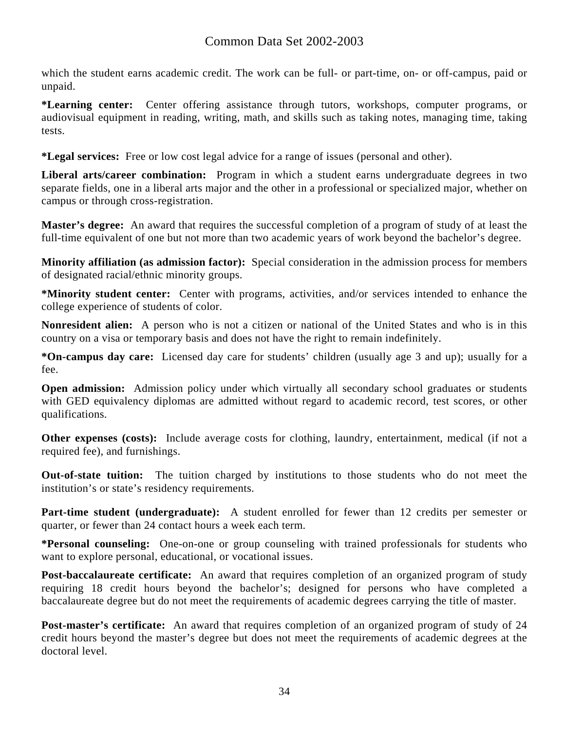which the student earns academic credit. The work can be full- or part-time, on- or off-campus, paid or unpaid.

**\*Learning center:** Center offering assistance through tutors, workshops, computer programs, or audiovisual equipment in reading, writing, math, and skills such as taking notes, managing time, taking tests.

**\*Legal services:** Free or low cost legal advice for a range of issues (personal and other).

**Liberal arts/career combination:** Program in which a student earns undergraduate degrees in two separate fields, one in a liberal arts major and the other in a professional or specialized major, whether on campus or through cross-registration.

**Master's degree:** An award that requires the successful completion of a program of study of at least the full-time equivalent of one but not more than two academic years of work beyond the bachelor's degree.

**Minority affiliation (as admission factor):** Special consideration in the admission process for members of designated racial/ethnic minority groups.

**\*Minority student center:** Center with programs, activities, and/or services intended to enhance the college experience of students of color.

**Nonresident alien:** A person who is not a citizen or national of the United States and who is in this country on a visa or temporary basis and does not have the right to remain indefinitely.

**\*On-campus day care:** Licensed day care for students' children (usually age 3 and up); usually for a fee.

**Open admission:** Admission policy under which virtually all secondary school graduates or students with GED equivalency diplomas are admitted without regard to academic record, test scores, or other qualifications.

**Other expenses (costs):** Include average costs for clothing, laundry, entertainment, medical (if not a required fee), and furnishings.

**Out-of-state tuition:** The tuition charged by institutions to those students who do not meet the institution's or state's residency requirements.

Part-time student (undergraduate): A student enrolled for fewer than 12 credits per semester or quarter, or fewer than 24 contact hours a week each term.

**\*Personal counseling:** One-on-one or group counseling with trained professionals for students who want to explore personal, educational, or vocational issues.

**Post-baccalaureate certificate:** An award that requires completion of an organized program of study requiring 18 credit hours beyond the bachelor's; designed for persons who have completed a baccalaureate degree but do not meet the requirements of academic degrees carrying the title of master.

**Post-master's certificate:** An award that requires completion of an organized program of study of 24 credit hours beyond the master's degree but does not meet the requirements of academic degrees at the doctoral level.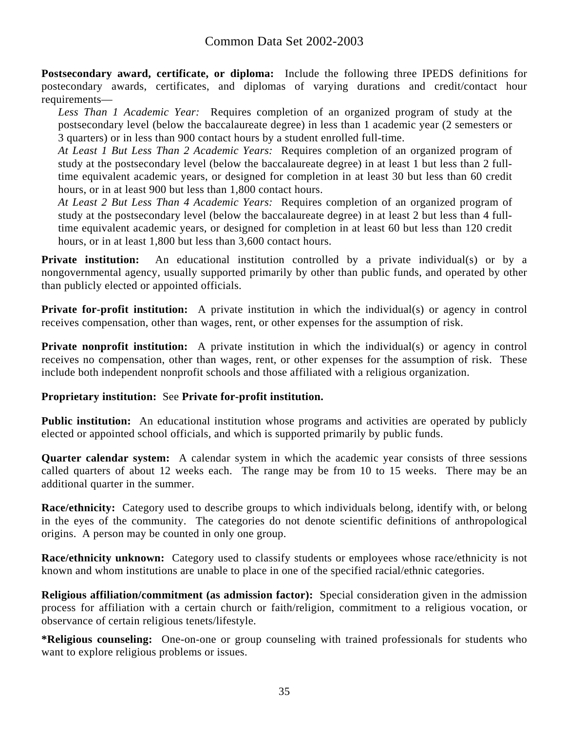**Postsecondary award, certificate, or diploma:** Include the following three IPEDS definitions for postecondary awards, certificates, and diplomas of varying durations and credit/contact hour requirements—

*Less Than 1 Academic Year:* Requires completion of an organized program of study at the postsecondary level (below the baccalaureate degree) in less than 1 academic year (2 semesters or 3 quarters) or in less than 900 contact hours by a student enrolled full-time.

*At Least 1 But Less Than 2 Academic Years:* Requires completion of an organized program of study at the postsecondary level (below the baccalaureate degree) in at least 1 but less than 2 fulltime equivalent academic years, or designed for completion in at least 30 but less than 60 credit hours, or in at least 900 but less than 1,800 contact hours.

*At Least 2 But Less Than 4 Academic Years:* Requires completion of an organized program of study at the postsecondary level (below the baccalaureate degree) in at least 2 but less than 4 fulltime equivalent academic years, or designed for completion in at least 60 but less than 120 credit hours, or in at least 1,800 but less than 3,600 contact hours.

**Private institution:** An educational institution controlled by a private individual(s) or by a nongovernmental agency, usually supported primarily by other than public funds, and operated by other than publicly elected or appointed officials.

**Private for-profit institution:** A private institution in which the individual(s) or agency in control receives compensation, other than wages, rent, or other expenses for the assumption of risk.

**Private nonprofit institution:** A private institution in which the individual(s) or agency in control receives no compensation, other than wages, rent, or other expenses for the assumption of risk. These include both independent nonprofit schools and those affiliated with a religious organization.

#### **Proprietary institution:** See **Private for-profit institution.**

**Public institution:** An educational institution whose programs and activities are operated by publicly elected or appointed school officials, and which is supported primarily by public funds.

**Quarter calendar system:** A calendar system in which the academic year consists of three sessions called quarters of about 12 weeks each. The range may be from 10 to 15 weeks. There may be an additional quarter in the summer.

**Race/ethnicity:** Category used to describe groups to which individuals belong, identify with, or belong in the eyes of the community. The categories do not denote scientific definitions of anthropological origins. A person may be counted in only one group.

**Race/ethnicity unknown:** Category used to classify students or employees whose race/ethnicity is not known and whom institutions are unable to place in one of the specified racial/ethnic categories.

**Religious affiliation/commitment (as admission factor):** Special consideration given in the admission process for affiliation with a certain church or faith/religion, commitment to a religious vocation, or observance of certain religious tenets/lifestyle.

**\*Religious counseling:** One-on-one or group counseling with trained professionals for students who want to explore religious problems or issues.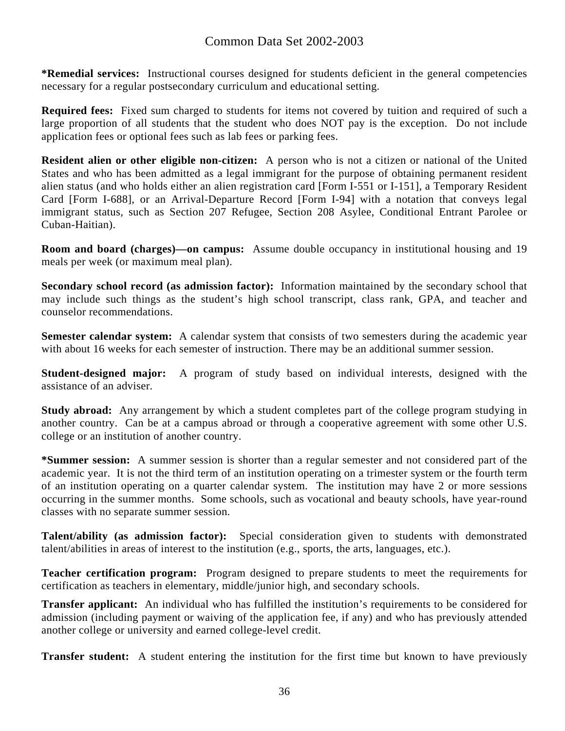**\*Remedial services:** Instructional courses designed for students deficient in the general competencies necessary for a regular postsecondary curriculum and educational setting.

**Required fees:** Fixed sum charged to students for items not covered by tuition and required of such a large proportion of all students that the student who does NOT pay is the exception. Do not include application fees or optional fees such as lab fees or parking fees.

**Resident alien or other eligible non-citizen:** A person who is not a citizen or national of the United States and who has been admitted as a legal immigrant for the purpose of obtaining permanent resident alien status (and who holds either an alien registration card [Form I-551 or I-151], a Temporary Resident Card [Form I-688], or an Arrival-Departure Record [Form I-94] with a notation that conveys legal immigrant status, such as Section 207 Refugee, Section 208 Asylee, Conditional Entrant Parolee or Cuban-Haitian).

**Room and board (charges)—on campus:** Assume double occupancy in institutional housing and 19 meals per week (or maximum meal plan).

**Secondary school record (as admission factor):** Information maintained by the secondary school that may include such things as the student's high school transcript, class rank, GPA, and teacher and counselor recommendations.

**Semester calendar system:** A calendar system that consists of two semesters during the academic year with about 16 weeks for each semester of instruction. There may be an additional summer session.

**Student-designed major:** A program of study based on individual interests, designed with the assistance of an adviser.

**Study abroad:** Any arrangement by which a student completes part of the college program studying in another country. Can be at a campus abroad or through a cooperative agreement with some other U.S. college or an institution of another country.

**\*Summer session:** A summer session is shorter than a regular semester and not considered part of the academic year. It is not the third term of an institution operating on a trimester system or the fourth term of an institution operating on a quarter calendar system. The institution may have 2 or more sessions occurring in the summer months. Some schools, such as vocational and beauty schools, have year-round classes with no separate summer session.

**Talent/ability (as admission factor):** Special consideration given to students with demonstrated talent/abilities in areas of interest to the institution (e.g., sports, the arts, languages, etc.).

**Teacher certification program:** Program designed to prepare students to meet the requirements for certification as teachers in elementary, middle/junior high, and secondary schools.

**Transfer applicant:** An individual who has fulfilled the institution's requirements to be considered for admission (including payment or waiving of the application fee, if any) and who has previously attended another college or university and earned college-level credit.

**Transfer student:** A student entering the institution for the first time but known to have previously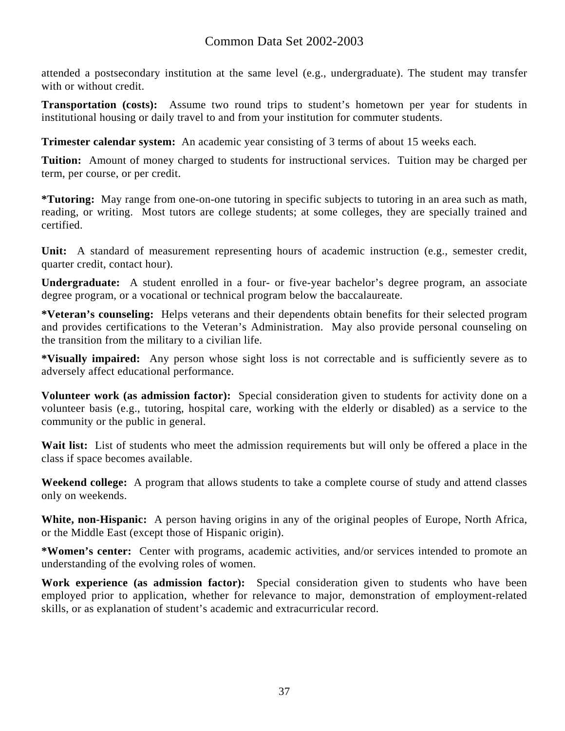attended a postsecondary institution at the same level (e.g., undergraduate). The student may transfer with or without credit.

**Transportation (costs):** Assume two round trips to student's hometown per year for students in institutional housing or daily travel to and from your institution for commuter students.

**Trimester calendar system:** An academic year consisting of 3 terms of about 15 weeks each.

**Tuition:** Amount of money charged to students for instructional services. Tuition may be charged per term, per course, or per credit.

**\*Tutoring:** May range from one-on-one tutoring in specific subjects to tutoring in an area such as math, reading, or writing. Most tutors are college students; at some colleges, they are specially trained and certified.

**Unit:** A standard of measurement representing hours of academic instruction (e.g., semester credit, quarter credit, contact hour).

**Undergraduate:** A student enrolled in a four- or five-year bachelor's degree program, an associate degree program, or a vocational or technical program below the baccalaureate.

**\*Veteran's counseling:** Helps veterans and their dependents obtain benefits for their selected program and provides certifications to the Veteran's Administration. May also provide personal counseling on the transition from the military to a civilian life.

**\*Visually impaired:** Any person whose sight loss is not correctable and is sufficiently severe as to adversely affect educational performance.

**Volunteer work (as admission factor):** Special consideration given to students for activity done on a volunteer basis (e.g., tutoring, hospital care, working with the elderly or disabled) as a service to the community or the public in general.

Wait list: List of students who meet the admission requirements but will only be offered a place in the class if space becomes available.

**Weekend college:** A program that allows students to take a complete course of study and attend classes only on weekends.

**White, non-Hispanic:** A person having origins in any of the original peoples of Europe, North Africa, or the Middle East (except those of Hispanic origin).

**\*Women's center:** Center with programs, academic activities, and/or services intended to promote an understanding of the evolving roles of women.

**Work experience (as admission factor):** Special consideration given to students who have been employed prior to application, whether for relevance to major, demonstration of employment-related skills, or as explanation of student's academic and extracurricular record.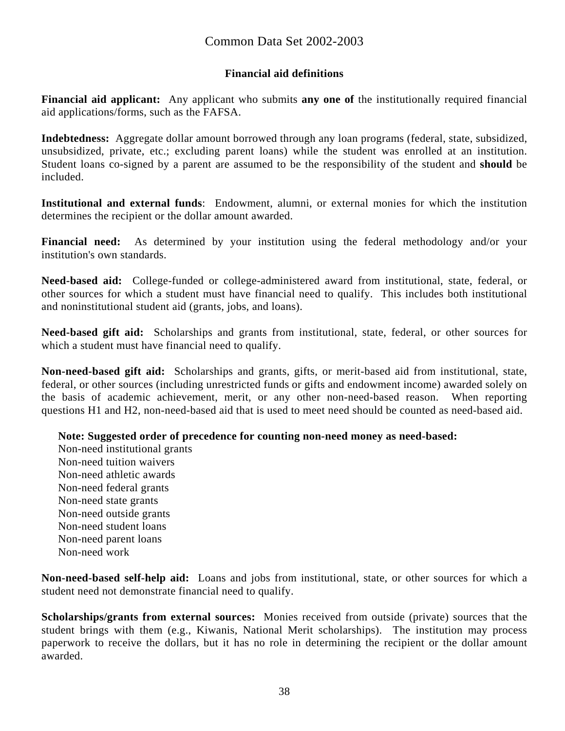#### **Financial aid definitions**

**Financial aid applicant:** Any applicant who submits **any one of** the institutionally required financial aid applications/forms, such as the FAFSA.

**Indebtedness:** Aggregate dollar amount borrowed through any loan programs (federal, state, subsidized, unsubsidized, private, etc.; excluding parent loans) while the student was enrolled at an institution. Student loans co-signed by a parent are assumed to be the responsibility of the student and **should** be included.

**Institutional and external funds**: Endowment, alumni, or external monies for which the institution determines the recipient or the dollar amount awarded.

**Financial need:** As determined by your institution using the federal methodology and/or your institution's own standards.

**Need-based aid:** College-funded or college-administered award from institutional, state, federal, or other sources for which a student must have financial need to qualify. This includes both institutional and noninstitutional student aid (grants, jobs, and loans).

**Need-based gift aid:** Scholarships and grants from institutional, state, federal, or other sources for which a student must have financial need to qualify.

**Non-need-based gift aid:** Scholarships and grants, gifts, or merit-based aid from institutional, state, federal, or other sources (including unrestricted funds or gifts and endowment income) awarded solely on the basis of academic achievement, merit, or any other non-need-based reason. When reporting questions H1 and H2, non-need-based aid that is used to meet need should be counted as need-based aid.

**Note: Suggested order of precedence for counting non-need money as need-based:** 

Non-need institutional grants Non-need tuition waivers Non-need athletic awards Non-need federal grants Non-need state grants Non-need outside grants Non-need student loans Non-need parent loans Non-need work

**Non-need-based self-help aid:** Loans and jobs from institutional, state, or other sources for which a student need not demonstrate financial need to qualify.

**Scholarships/grants from external sources:** Monies received from outside (private) sources that the student brings with them (e.g., Kiwanis, National Merit scholarships). The institution may process paperwork to receive the dollars, but it has no role in determining the recipient or the dollar amount awarded.